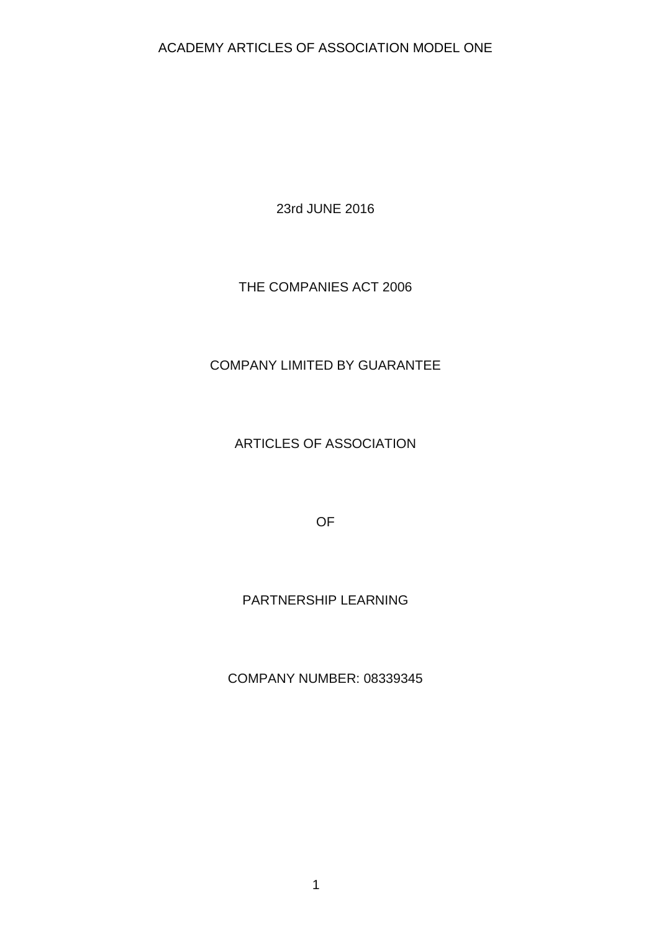23rd JUNE 2016

## THE COMPANIES ACT 2006

## COMPANY LIMITED BY GUARANTEE

ARTICLES OF ASSOCIATION

OF

## PARTNERSHIP LEARNING

COMPANY NUMBER: 08339345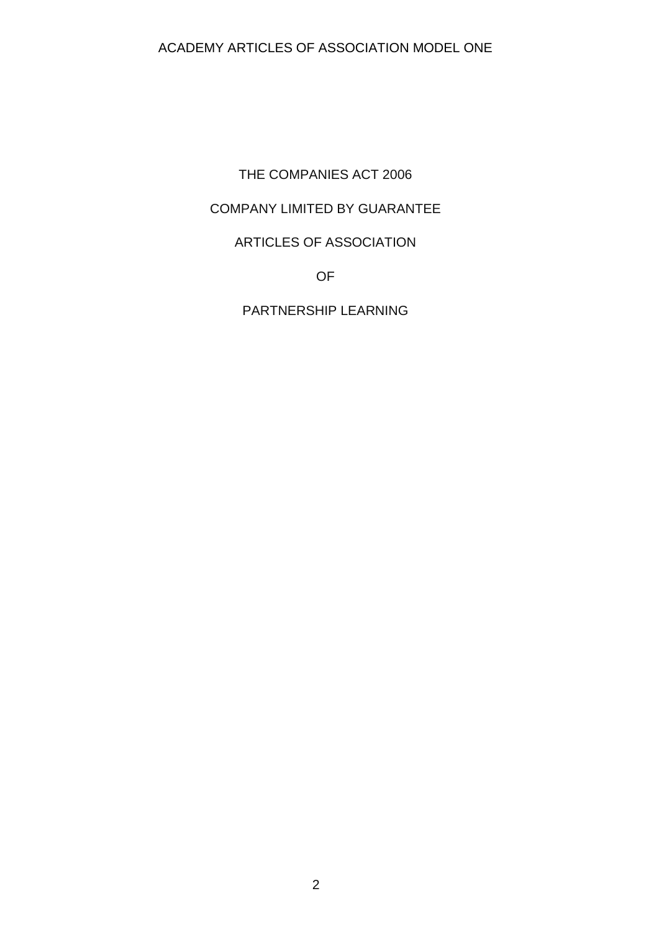THE COMPANIES ACT 2006

# COMPANY LIMITED BY GUARANTEE

# ARTICLES OF ASSOCIATION

OF

PARTNERSHIP LEARNING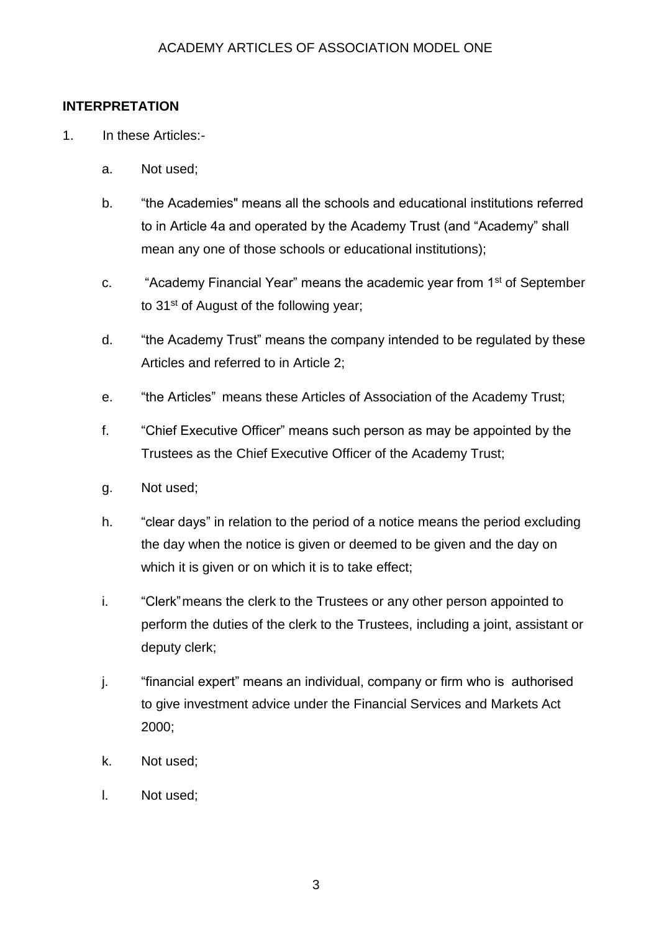### **INTERPRETATION**

- 1. In these Articles:
	- a. Not used;
	- b. "the Academies" means all the schools and educational institutions referred to in Article 4a and operated by the Academy Trust (and "Academy" shall mean any one of those schools or educational institutions);
	- c. "Academy Financial Year" means the academic year from 1st of September to 31<sup>st</sup> of August of the following year;
	- d. "the Academy Trust" means the company intended to be regulated by these Articles and referred to in Article 2;
	- e. "the Articles" means these Articles of Association of the Academy Trust;
	- f. "Chief Executive Officer" means such person as may be appointed by the Trustees as the Chief Executive Officer of the Academy Trust;
	- g. Not used;
	- h. "clear days" in relation to the period of a notice means the period excluding the day when the notice is given or deemed to be given and the day on which it is given or on which it is to take effect;
	- i. "Clerk"means the clerk to the Trustees or any other person appointed to perform the duties of the clerk to the Trustees, including a joint, assistant or deputy clerk;
	- j. "financial expert" means an individual, company or firm who is authorised to give investment advice under the Financial Services and Markets Act 2000;
	- k. Not used;
	- l. Not used;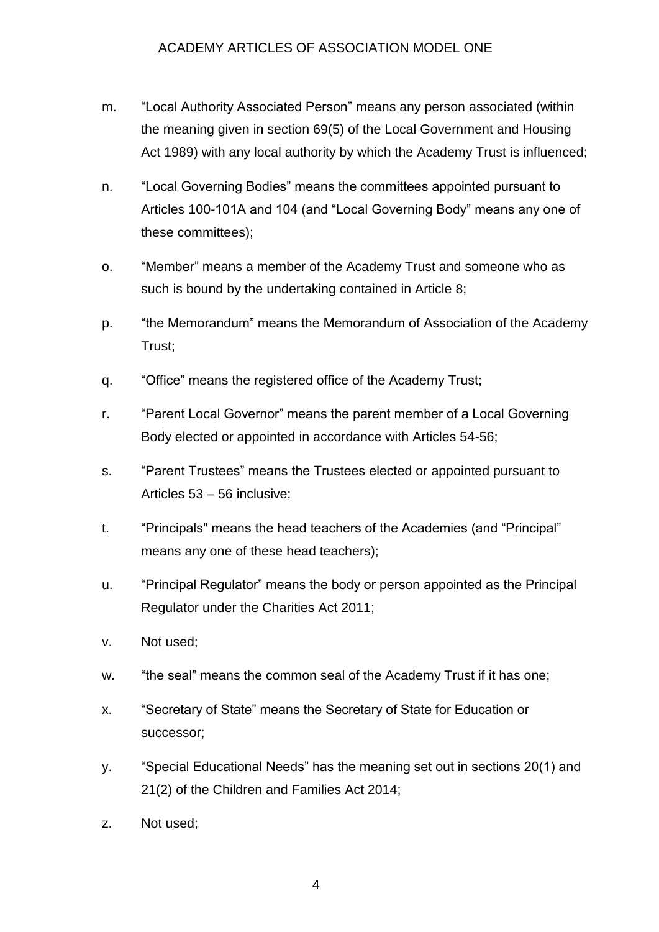- m. "Local Authority Associated Person" means any person associated (within the meaning given in section 69(5) of the Local Government and Housing Act 1989) with any local authority by which the Academy Trust is influenced;
- n. "Local Governing Bodies" means the committees appointed pursuant to Articles 100-101A and 104 (and "Local Governing Body" means any one of these committees);
- o. "Member" means a member of the Academy Trust and someone who as such is bound by the undertaking contained in Article 8;
- p. "the Memorandum" means the Memorandum of Association of the Academy Trust;
- q. "Office" means the registered office of the Academy Trust;
- r. "Parent Local Governor" means the parent member of a Local Governing Body elected or appointed in accordance with Articles 54-56;
- s. "Parent Trustees" means the Trustees elected or appointed pursuant to Articles 53 – 56 inclusive;
- t. "Principals" means the head teachers of the Academies (and "Principal" means any one of these head teachers);
- u. "Principal Regulator" means the body or person appointed as the Principal Regulator under the Charities Act 2011;
- v. Not used;
- w. "the seal" means the common seal of the Academy Trust if it has one;
- x. "Secretary of State" means the Secretary of State for Education or successor;
- y. "Special Educational Needs" has the meaning set out in sections 20(1) and 21(2) of the Children and Families Act 2014;
- z. Not used;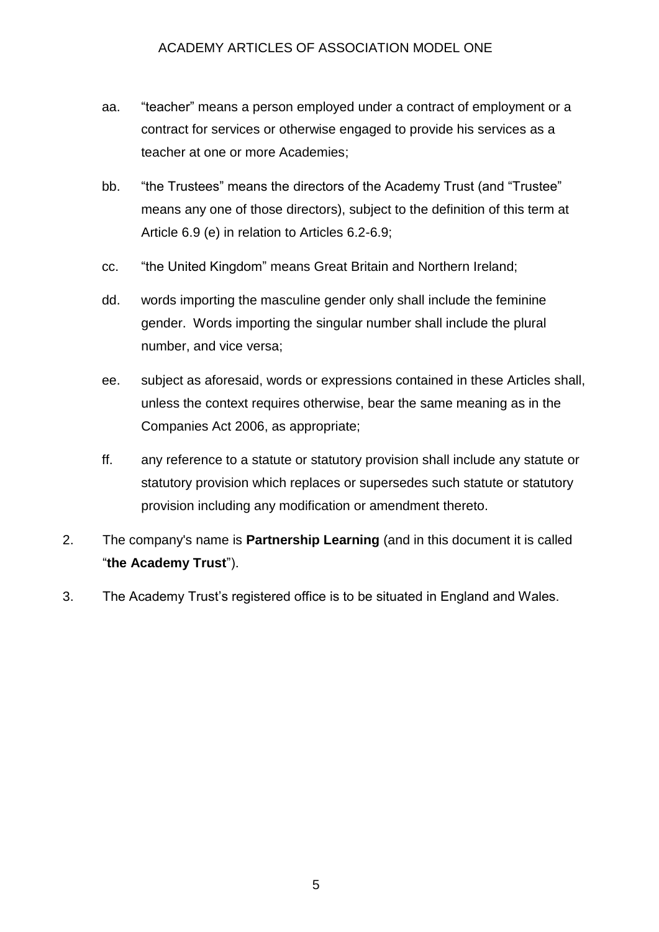- aa. "teacher" means a person employed under a contract of employment or a contract for services or otherwise engaged to provide his services as a teacher at one or more Academies;
- bb. "the Trustees" means the directors of the Academy Trust (and "Trustee" means any one of those directors), subject to the definition of this term at Article 6.9 (e) in relation to Articles 6.2-6.9;
- cc. "the United Kingdom" means Great Britain and Northern Ireland;
- dd. words importing the masculine gender only shall include the feminine gender. Words importing the singular number shall include the plural number, and vice versa;
- ee. subject as aforesaid, words or expressions contained in these Articles shall, unless the context requires otherwise, bear the same meaning as in the Companies Act 2006, as appropriate;
- ff. any reference to a statute or statutory provision shall include any statute or statutory provision which replaces or supersedes such statute or statutory provision including any modification or amendment thereto.
- 2. The company's name is **Partnership Learning** (and in this document it is called "**the Academy Trust**").
- 3. The Academy Trust's registered office is to be situated in England and Wales.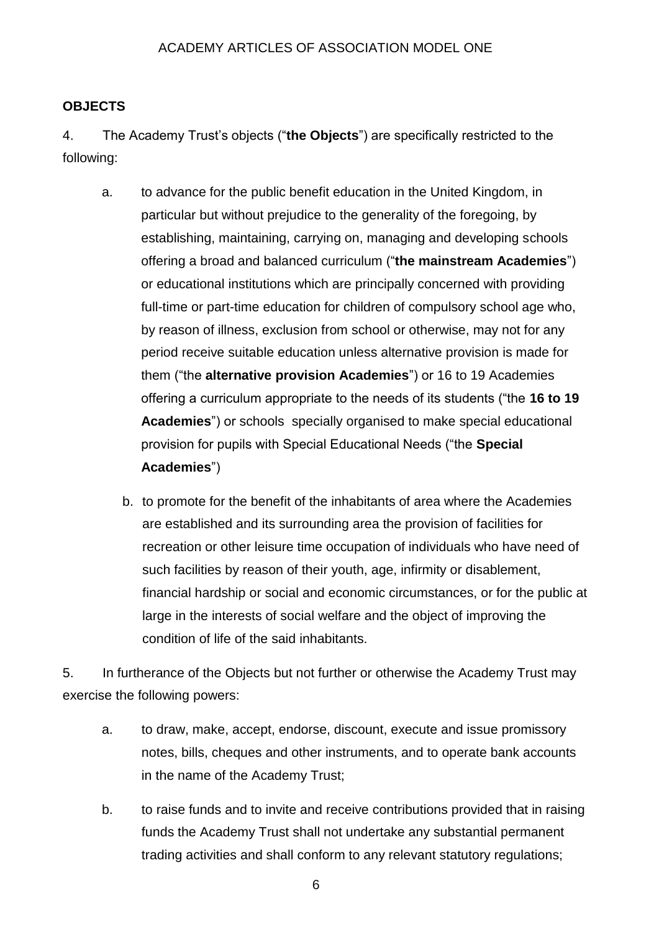## **OBJECTS**

4. The Academy Trust's objects ("**the Objects**") are specifically restricted to the following:

- a. to advance for the public benefit education in the United Kingdom, in particular but without prejudice to the generality of the foregoing, by establishing, maintaining, carrying on, managing and developing schools offering a broad and balanced curriculum ("**the mainstream Academies**") or educational institutions which are principally concerned with providing full-time or part-time education for children of compulsory school age who, by reason of illness, exclusion from school or otherwise, may not for any period receive suitable education unless alternative provision is made for them ("the **alternative provision Academies**") or 16 to 19 Academies offering a curriculum appropriate to the needs of its students ("the **16 to 19 Academies**") or schools specially organised to make special educational provision for pupils with Special Educational Needs ("the **Special Academies**")
	- b. to promote for the benefit of the inhabitants of area where the Academies are established and its surrounding area the provision of facilities for recreation or other leisure time occupation of individuals who have need of such facilities by reason of their youth, age, infirmity or disablement, financial hardship or social and economic circumstances, or for the public at large in the interests of social welfare and the object of improving the condition of life of the said inhabitants.

5. In furtherance of the Objects but not further or otherwise the Academy Trust may exercise the following powers:

- a. to draw, make, accept, endorse, discount, execute and issue promissory notes, bills, cheques and other instruments, and to operate bank accounts in the name of the Academy Trust;
- b. to raise funds and to invite and receive contributions provided that in raising funds the Academy Trust shall not undertake any substantial permanent trading activities and shall conform to any relevant statutory regulations;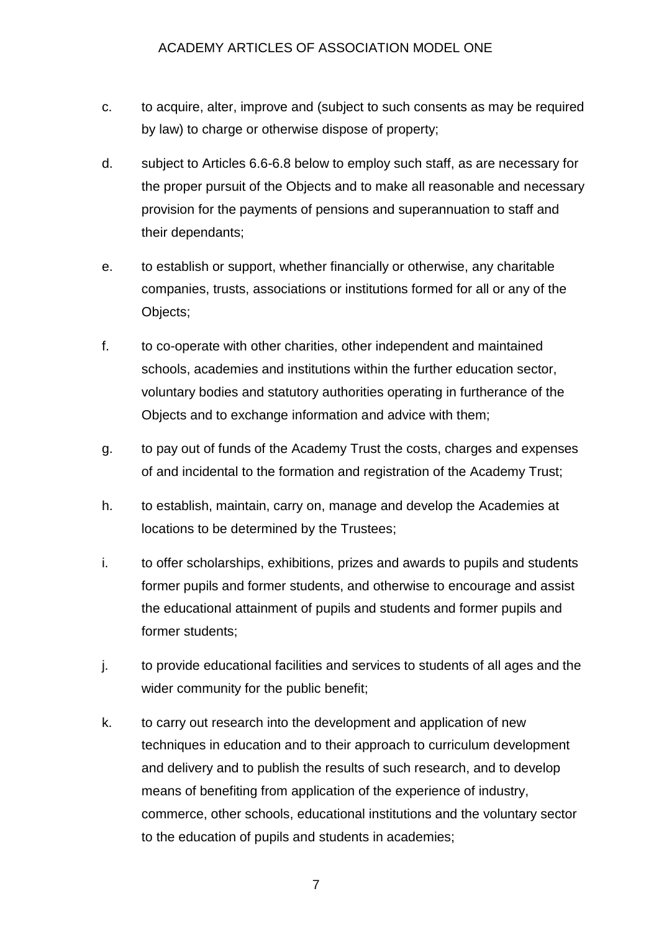- c. to acquire, alter, improve and (subject to such consents as may be required by law) to charge or otherwise dispose of property;
- d. subject to Articles 6.6-6.8 below to employ such staff, as are necessary for the proper pursuit of the Objects and to make all reasonable and necessary provision for the payments of pensions and superannuation to staff and their dependants;
- e. to establish or support, whether financially or otherwise, any charitable companies, trusts, associations or institutions formed for all or any of the Objects;
- f. to co-operate with other charities, other independent and maintained schools, academies and institutions within the further education sector, voluntary bodies and statutory authorities operating in furtherance of the Objects and to exchange information and advice with them;
- g. to pay out of funds of the Academy Trust the costs, charges and expenses of and incidental to the formation and registration of the Academy Trust;
- h. to establish, maintain, carry on, manage and develop the Academies at locations to be determined by the Trustees;
- i. to offer scholarships, exhibitions, prizes and awards to pupils and students former pupils and former students, and otherwise to encourage and assist the educational attainment of pupils and students and former pupils and former students;
- j. to provide educational facilities and services to students of all ages and the wider community for the public benefit;
- k. to carry out research into the development and application of new techniques in education and to their approach to curriculum development and delivery and to publish the results of such research, and to develop means of benefiting from application of the experience of industry, commerce, other schools, educational institutions and the voluntary sector to the education of pupils and students in academies;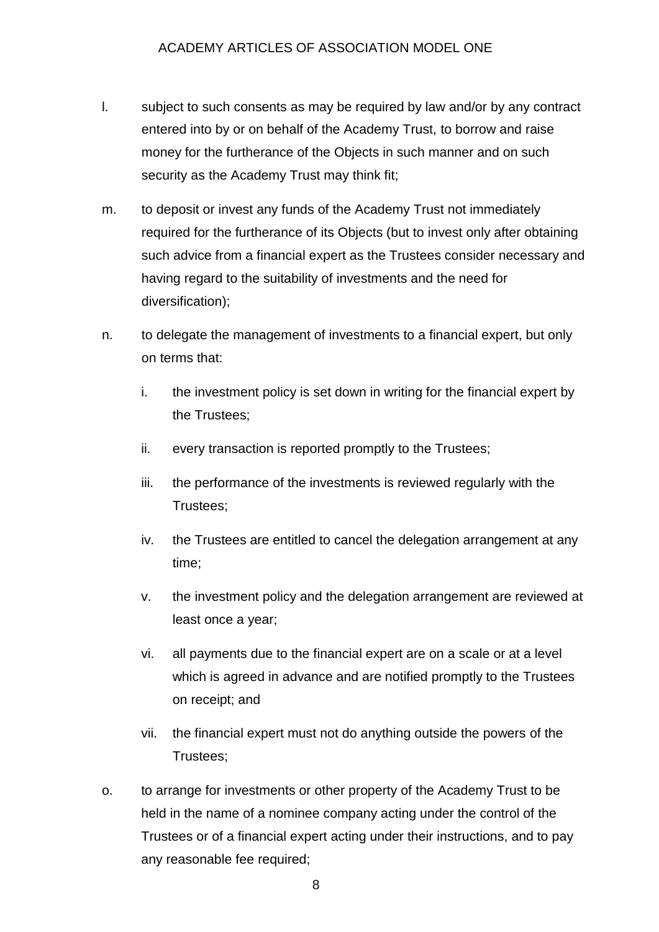- l. subject to such consents as may be required by law and/or by any contract entered into by or on behalf of the Academy Trust, to borrow and raise money for the furtherance of the Objects in such manner and on such security as the Academy Trust may think fit;
- m. to deposit or invest any funds of the Academy Trust not immediately required for the furtherance of its Objects (but to invest only after obtaining such advice from a financial expert as the Trustees consider necessary and having regard to the suitability of investments and the need for diversification);
- n. to delegate the management of investments to a financial expert, but only on terms that:
	- i. the investment policy is set down in writing for the financial expert by the Trustees;
	- ii. every transaction is reported promptly to the Trustees;
	- iii. the performance of the investments is reviewed regularly with the Trustees;
	- iv. the Trustees are entitled to cancel the delegation arrangement at any time;
	- v. the investment policy and the delegation arrangement are reviewed at least once a year;
	- vi. all payments due to the financial expert are on a scale or at a level which is agreed in advance and are notified promptly to the Trustees on receipt; and
	- vii. the financial expert must not do anything outside the powers of the Trustees;
- o. to arrange for investments or other property of the Academy Trust to be held in the name of a nominee company acting under the control of the Trustees or of a financial expert acting under their instructions, and to pay any reasonable fee required;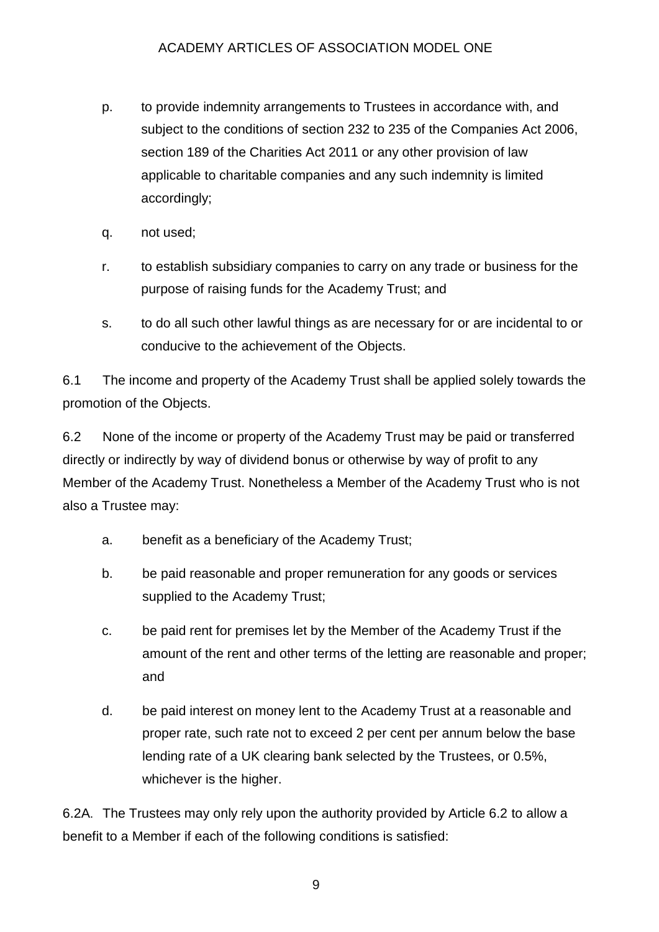- p. to provide indemnity arrangements to Trustees in accordance with, and subject to the conditions of section 232 to 235 of the Companies Act 2006, section 189 of the Charities Act 2011 or any other provision of law applicable to charitable companies and any such indemnity is limited accordingly;
- q. not used;
- r. to establish subsidiary companies to carry on any trade or business for the purpose of raising funds for the Academy Trust; and
- s. to do all such other lawful things as are necessary for or are incidental to or conducive to the achievement of the Objects.

6.1 The income and property of the Academy Trust shall be applied solely towards the promotion of the Objects.

6.2 None of the income or property of the Academy Trust may be paid or transferred directly or indirectly by way of dividend bonus or otherwise by way of profit to any Member of the Academy Trust. Nonetheless a Member of the Academy Trust who is not also a Trustee may:

- a. benefit as a beneficiary of the Academy Trust;
- b. be paid reasonable and proper remuneration for any goods or services supplied to the Academy Trust;
- c. be paid rent for premises let by the Member of the Academy Trust if the amount of the rent and other terms of the letting are reasonable and proper; and
- d. be paid interest on money lent to the Academy Trust at a reasonable and proper rate, such rate not to exceed 2 per cent per annum below the base lending rate of a UK clearing bank selected by the Trustees, or 0.5%, whichever is the higher.

6.2A. The Trustees may only rely upon the authority provided by Article 6.2 to allow a benefit to a Member if each of the following conditions is satisfied: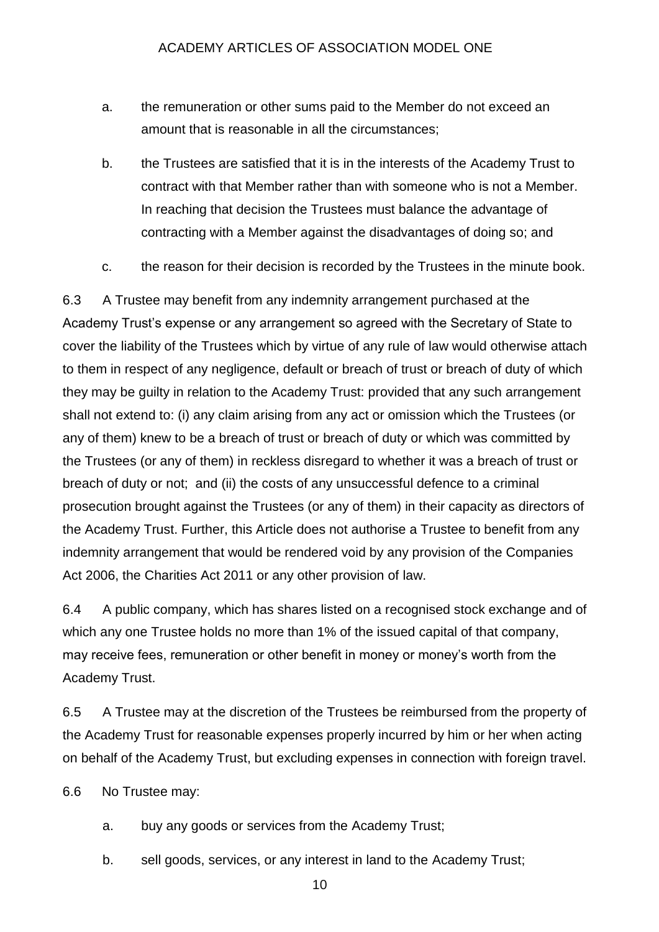- a. the remuneration or other sums paid to the Member do not exceed an amount that is reasonable in all the circumstances;
- b. the Trustees are satisfied that it is in the interests of the Academy Trust to contract with that Member rather than with someone who is not a Member. In reaching that decision the Trustees must balance the advantage of contracting with a Member against the disadvantages of doing so; and
- c. the reason for their decision is recorded by the Trustees in the minute book.

6.3 A Trustee may benefit from any indemnity arrangement purchased at the Academy Trust's expense or any arrangement so agreed with the Secretary of State to cover the liability of the Trustees which by virtue of any rule of law would otherwise attach to them in respect of any negligence, default or breach of trust or breach of duty of which they may be guilty in relation to the Academy Trust: provided that any such arrangement shall not extend to: (i) any claim arising from any act or omission which the Trustees (or any of them) knew to be a breach of trust or breach of duty or which was committed by the Trustees (or any of them) in reckless disregard to whether it was a breach of trust or breach of duty or not; and (ii) the costs of any unsuccessful defence to a criminal prosecution brought against the Trustees (or any of them) in their capacity as directors of the Academy Trust. Further, this Article does not authorise a Trustee to benefit from any indemnity arrangement that would be rendered void by any provision of the Companies Act 2006, the Charities Act 2011 or any other provision of law.

6.4 A public company, which has shares listed on a recognised stock exchange and of which any one Trustee holds no more than 1% of the issued capital of that company, may receive fees, remuneration or other benefit in money or money's worth from the Academy Trust.

6.5 A Trustee may at the discretion of the Trustees be reimbursed from the property of the Academy Trust for reasonable expenses properly incurred by him or her when acting on behalf of the Academy Trust, but excluding expenses in connection with foreign travel.

6.6 No Trustee may:

- a. buy any goods or services from the Academy Trust;
- b. sell goods, services, or any interest in land to the Academy Trust;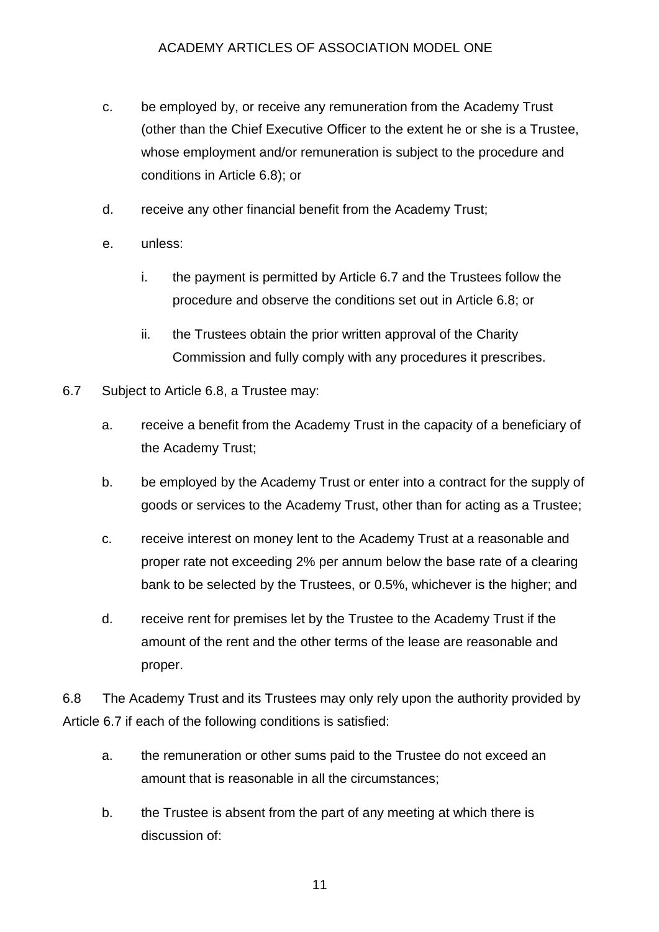- c. be employed by, or receive any remuneration from the Academy Trust (other than the Chief Executive Officer to the extent he or she is a Trustee, whose employment and/or remuneration is subject to the procedure and conditions in Article 6.8); or
- d. receive any other financial benefit from the Academy Trust;
- e. unless:
	- i. the payment is permitted by Article 6.7 and the Trustees follow the procedure and observe the conditions set out in Article 6.8; or
	- ii. the Trustees obtain the prior written approval of the Charity Commission and fully comply with any procedures it prescribes.
- 6.7 Subject to Article 6.8, a Trustee may:
	- a. receive a benefit from the Academy Trust in the capacity of a beneficiary of the Academy Trust;
	- b. be employed by the Academy Trust or enter into a contract for the supply of goods or services to the Academy Trust, other than for acting as a Trustee;
	- c. receive interest on money lent to the Academy Trust at a reasonable and proper rate not exceeding 2% per annum below the base rate of a clearing bank to be selected by the Trustees, or 0.5%, whichever is the higher; and
	- d. receive rent for premises let by the Trustee to the Academy Trust if the amount of the rent and the other terms of the lease are reasonable and proper.

6.8 The Academy Trust and its Trustees may only rely upon the authority provided by Article 6.7 if each of the following conditions is satisfied:

- a. the remuneration or other sums paid to the Trustee do not exceed an amount that is reasonable in all the circumstances;
- b. the Trustee is absent from the part of any meeting at which there is discussion of: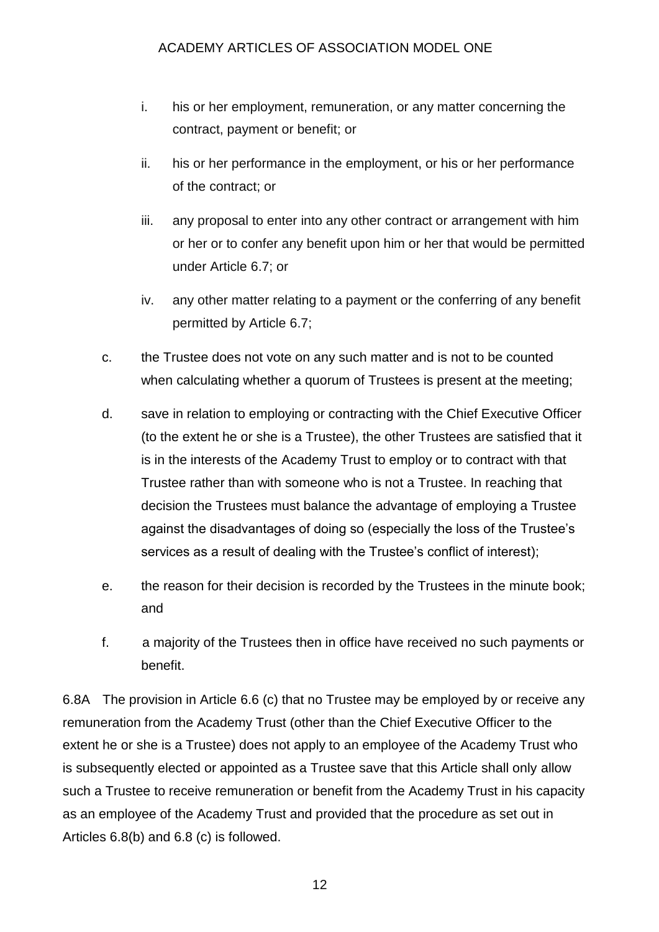- i. his or her employment, remuneration, or any matter concerning the contract, payment or benefit; or
- ii. his or her performance in the employment, or his or her performance of the contract; or
- iii. any proposal to enter into any other contract or arrangement with him or her or to confer any benefit upon him or her that would be permitted under Article 6.7; or
- iv. any other matter relating to a payment or the conferring of any benefit permitted by Article 6.7;
- c. the Trustee does not vote on any such matter and is not to be counted when calculating whether a quorum of Trustees is present at the meeting;
- d. save in relation to employing or contracting with the Chief Executive Officer (to the extent he or she is a Trustee), the other Trustees are satisfied that it is in the interests of the Academy Trust to employ or to contract with that Trustee rather than with someone who is not a Trustee. In reaching that decision the Trustees must balance the advantage of employing a Trustee against the disadvantages of doing so (especially the loss of the Trustee's services as a result of dealing with the Trustee's conflict of interest);
- e. the reason for their decision is recorded by the Trustees in the minute book; and
- f. a majority of the Trustees then in office have received no such payments or benefit.

6.8A The provision in Article 6.6 (c) that no Trustee may be employed by or receive any remuneration from the Academy Trust (other than the Chief Executive Officer to the extent he or she is a Trustee) does not apply to an employee of the Academy Trust who is subsequently elected or appointed as a Trustee save that this Article shall only allow such a Trustee to receive remuneration or benefit from the Academy Trust in his capacity as an employee of the Academy Trust and provided that the procedure as set out in Articles 6.8(b) and 6.8 (c) is followed.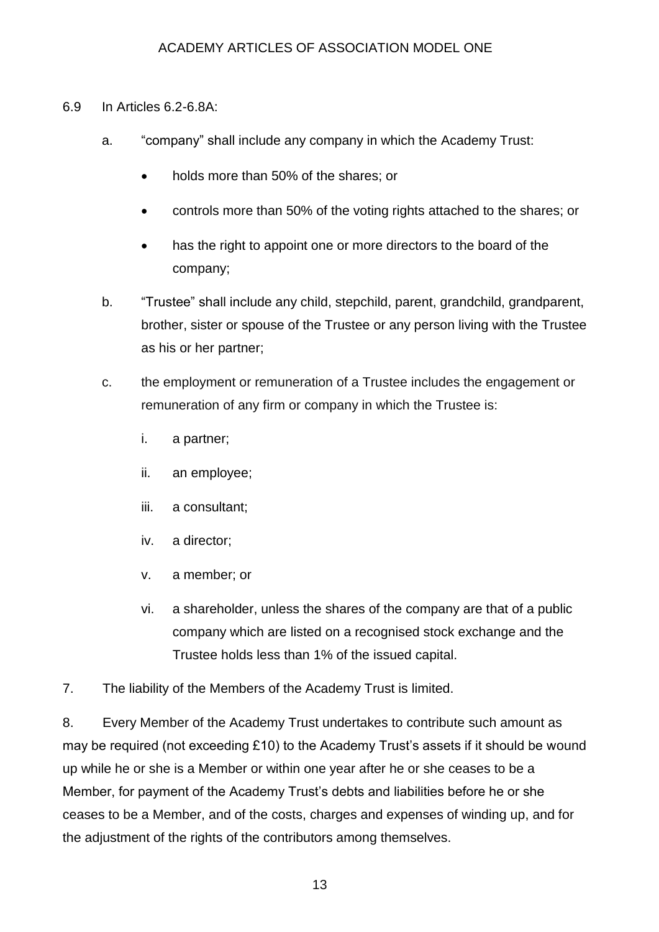#### 6.9 In Articles 6.2-6.8A:

- a. "company" shall include any company in which the Academy Trust:
	- holds more than 50% of the shares; or
	- controls more than 50% of the voting rights attached to the shares; or
	- has the right to appoint one or more directors to the board of the company;
- b. "Trustee" shall include any child, stepchild, parent, grandchild, grandparent, brother, sister or spouse of the Trustee or any person living with the Trustee as his or her partner;
- c. the employment or remuneration of a Trustee includes the engagement or remuneration of any firm or company in which the Trustee is:
	- i. a partner;
	- ii. an employee;
	- iii. a consultant;
	- iv. a director;
	- v. a member; or
	- vi. a shareholder, unless the shares of the company are that of a public company which are listed on a recognised stock exchange and the Trustee holds less than 1% of the issued capital.
- 7. The liability of the Members of the Academy Trust is limited.

8. Every Member of the Academy Trust undertakes to contribute such amount as may be required (not exceeding £10) to the Academy Trust's assets if it should be wound up while he or she is a Member or within one year after he or she ceases to be a Member, for payment of the Academy Trust's debts and liabilities before he or she ceases to be a Member, and of the costs, charges and expenses of winding up, and for the adjustment of the rights of the contributors among themselves.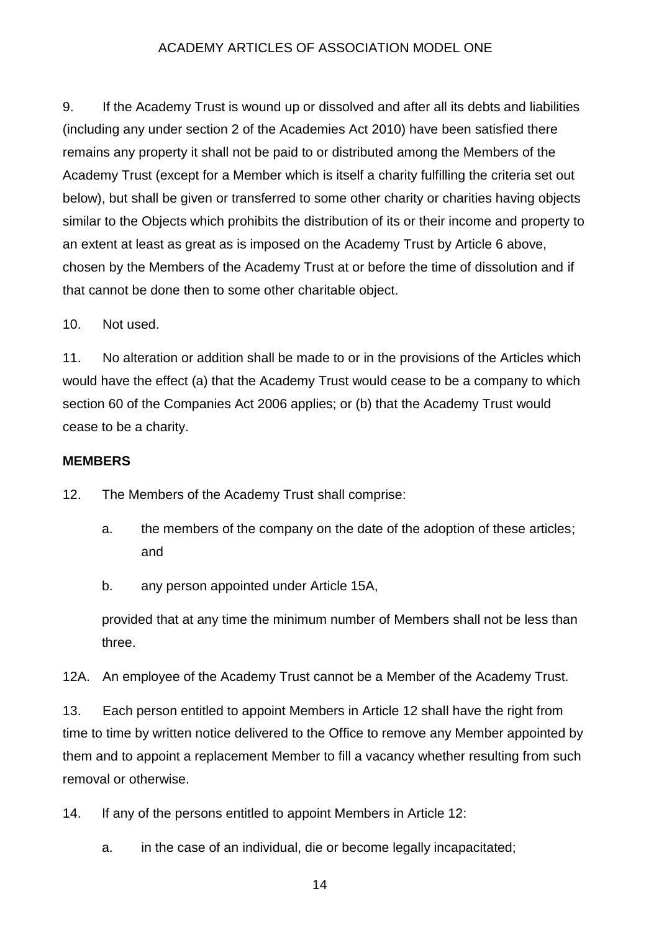9. If the Academy Trust is wound up or dissolved and after all its debts and liabilities (including any under section 2 of the Academies Act 2010) have been satisfied there remains any property it shall not be paid to or distributed among the Members of the Academy Trust (except for a Member which is itself a charity fulfilling the criteria set out below), but shall be given or transferred to some other charity or charities having objects similar to the Objects which prohibits the distribution of its or their income and property to an extent at least as great as is imposed on the Academy Trust by Article 6 above, chosen by the Members of the Academy Trust at or before the time of dissolution and if that cannot be done then to some other charitable object.

10. Not used.

11. No alteration or addition shall be made to or in the provisions of the Articles which would have the effect (a) that the Academy Trust would cease to be a company to which section 60 of the Companies Act 2006 applies; or (b) that the Academy Trust would cease to be a charity.

## **MEMBERS**

12. The Members of the Academy Trust shall comprise:

- a. the members of the company on the date of the adoption of these articles; and
- b. any person appointed under Article 15A,

provided that at any time the minimum number of Members shall not be less than three.

12A. An employee of the Academy Trust cannot be a Member of the Academy Trust.

13. Each person entitled to appoint Members in Article 12 shall have the right from time to time by written notice delivered to the Office to remove any Member appointed by them and to appoint a replacement Member to fill a vacancy whether resulting from such removal or otherwise.

14. If any of the persons entitled to appoint Members in Article 12:

a. in the case of an individual, die or become legally incapacitated;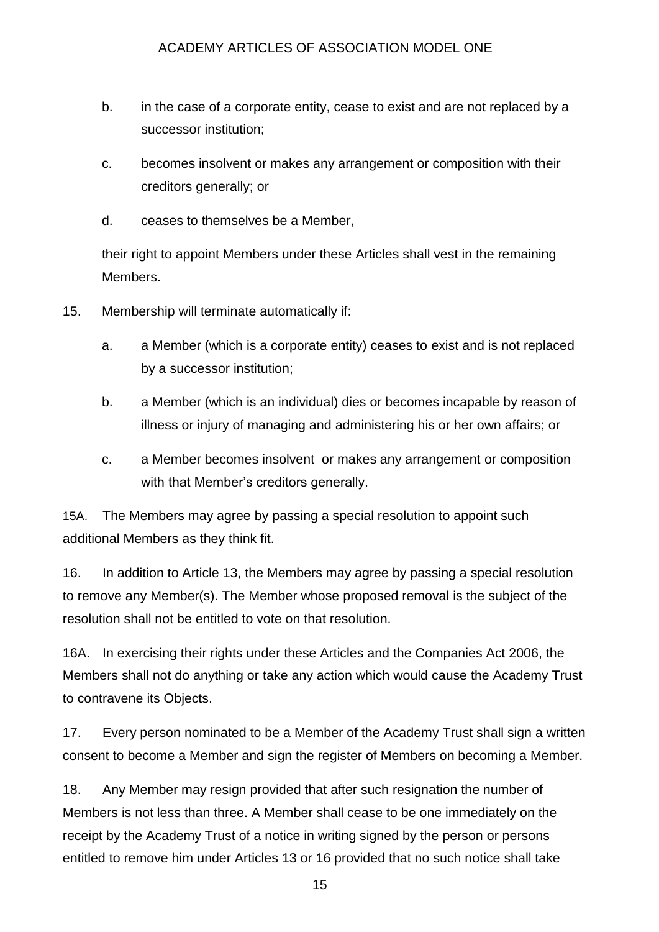- b. in the case of a corporate entity, cease to exist and are not replaced by a successor institution;
- c. becomes insolvent or makes any arrangement or composition with their creditors generally; or
- d. ceases to themselves be a Member,

their right to appoint Members under these Articles shall vest in the remaining Members.

- 15. Membership will terminate automatically if:
	- a. a Member (which is a corporate entity) ceases to exist and is not replaced by a successor institution;
	- b. a Member (which is an individual) dies or becomes incapable by reason of illness or injury of managing and administering his or her own affairs; or
	- c. a Member becomes insolvent or makes any arrangement or composition with that Member's creditors generally.

15A. The Members may agree by passing a special resolution to appoint such additional Members as they think fit.

16. In addition to Article 13, the Members may agree by passing a special resolution to remove any Member(s). The Member whose proposed removal is the subject of the resolution shall not be entitled to vote on that resolution.

16A. In exercising their rights under these Articles and the Companies Act 2006, the Members shall not do anything or take any action which would cause the Academy Trust to contravene its Objects.

17. Every person nominated to be a Member of the Academy Trust shall sign a written consent to become a Member and sign the register of Members on becoming a Member.

18. Any Member may resign provided that after such resignation the number of Members is not less than three. A Member shall cease to be one immediately on the receipt by the Academy Trust of a notice in writing signed by the person or persons entitled to remove him under Articles 13 or 16 provided that no such notice shall take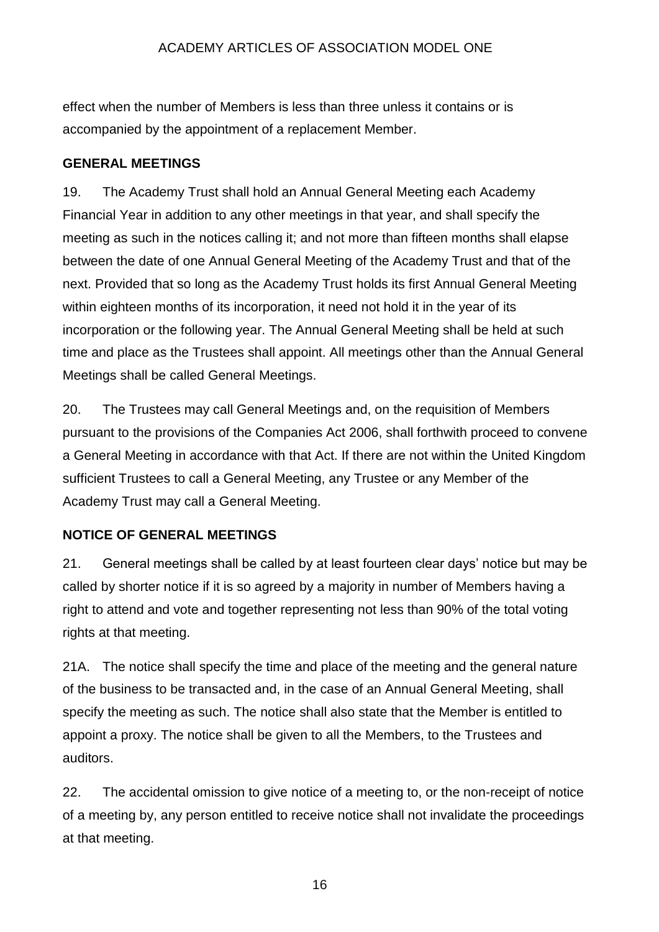effect when the number of Members is less than three unless it contains or is accompanied by the appointment of a replacement Member.

## **GENERAL MEETINGS**

19. The Academy Trust shall hold an Annual General Meeting each Academy Financial Year in addition to any other meetings in that year, and shall specify the meeting as such in the notices calling it; and not more than fifteen months shall elapse between the date of one Annual General Meeting of the Academy Trust and that of the next. Provided that so long as the Academy Trust holds its first Annual General Meeting within eighteen months of its incorporation, it need not hold it in the year of its incorporation or the following year. The Annual General Meeting shall be held at such time and place as the Trustees shall appoint. All meetings other than the Annual General Meetings shall be called General Meetings.

20. The Trustees may call General Meetings and, on the requisition of Members pursuant to the provisions of the Companies Act 2006, shall forthwith proceed to convene a General Meeting in accordance with that Act. If there are not within the United Kingdom sufficient Trustees to call a General Meeting, any Trustee or any Member of the Academy Trust may call a General Meeting.

## **NOTICE OF GENERAL MEETINGS**

21. General meetings shall be called by at least fourteen clear days' notice but may be called by shorter notice if it is so agreed by a majority in number of Members having a right to attend and vote and together representing not less than 90% of the total voting rights at that meeting.

21A. The notice shall specify the time and place of the meeting and the general nature of the business to be transacted and, in the case of an Annual General Meeting, shall specify the meeting as such. The notice shall also state that the Member is entitled to appoint a proxy. The notice shall be given to all the Members, to the Trustees and auditors.

22. The accidental omission to give notice of a meeting to, or the non-receipt of notice of a meeting by, any person entitled to receive notice shall not invalidate the proceedings at that meeting.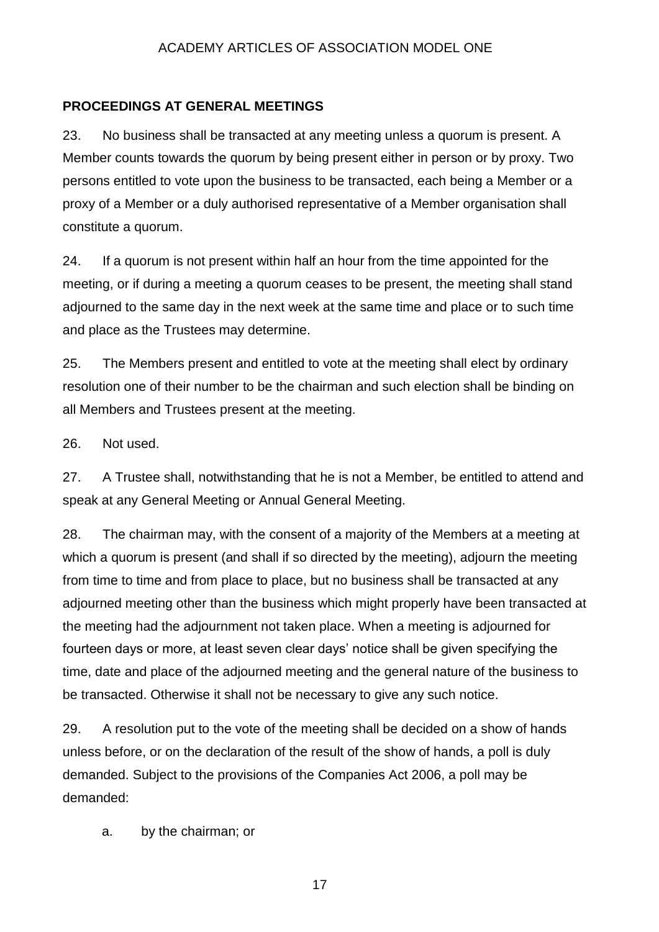#### **PROCEEDINGS AT GENERAL MEETINGS**

23. No business shall be transacted at any meeting unless a quorum is present. A Member counts towards the quorum by being present either in person or by proxy. Two persons entitled to vote upon the business to be transacted, each being a Member or a proxy of a Member or a duly authorised representative of a Member organisation shall constitute a quorum.

24. If a quorum is not present within half an hour from the time appointed for the meeting, or if during a meeting a quorum ceases to be present, the meeting shall stand adjourned to the same day in the next week at the same time and place or to such time and place as the Trustees may determine.

25. The Members present and entitled to vote at the meeting shall elect by ordinary resolution one of their number to be the chairman and such election shall be binding on all Members and Trustees present at the meeting.

26. Not used.

27. A Trustee shall, notwithstanding that he is not a Member, be entitled to attend and speak at any General Meeting or Annual General Meeting.

28. The chairman may, with the consent of a majority of the Members at a meeting at which a quorum is present (and shall if so directed by the meeting), adjourn the meeting from time to time and from place to place, but no business shall be transacted at any adjourned meeting other than the business which might properly have been transacted at the meeting had the adjournment not taken place. When a meeting is adjourned for fourteen days or more, at least seven clear days' notice shall be given specifying the time, date and place of the adjourned meeting and the general nature of the business to be transacted. Otherwise it shall not be necessary to give any such notice.

29. A resolution put to the vote of the meeting shall be decided on a show of hands unless before, or on the declaration of the result of the show of hands, a poll is duly demanded. Subject to the provisions of the Companies Act 2006, a poll may be demanded:

a. by the chairman; or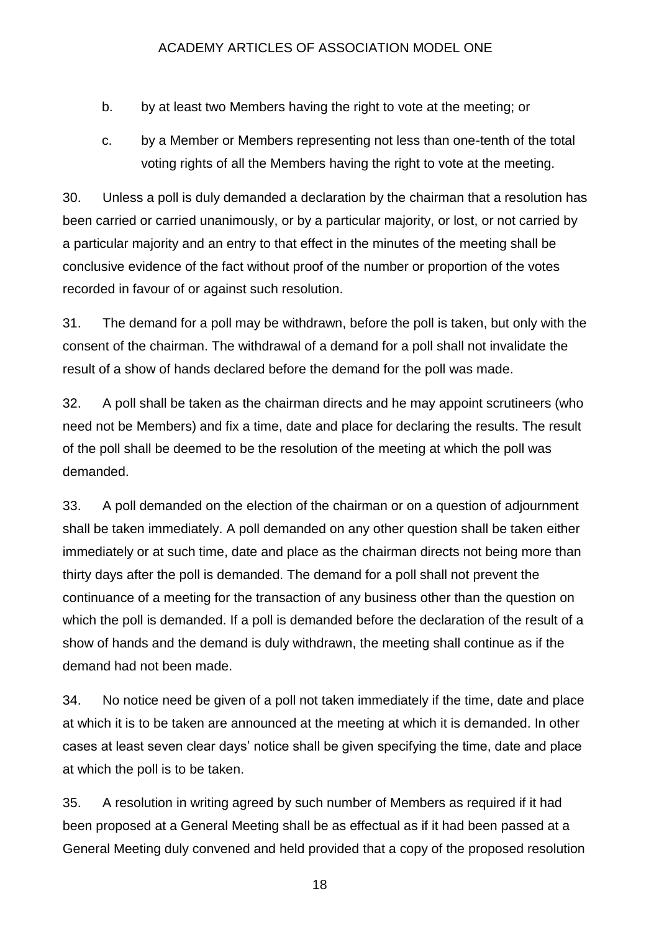- b. by at least two Members having the right to vote at the meeting; or
- c. by a Member or Members representing not less than one-tenth of the total voting rights of all the Members having the right to vote at the meeting.

30. Unless a poll is duly demanded a declaration by the chairman that a resolution has been carried or carried unanimously, or by a particular majority, or lost, or not carried by a particular majority and an entry to that effect in the minutes of the meeting shall be conclusive evidence of the fact without proof of the number or proportion of the votes recorded in favour of or against such resolution.

31. The demand for a poll may be withdrawn, before the poll is taken, but only with the consent of the chairman. The withdrawal of a demand for a poll shall not invalidate the result of a show of hands declared before the demand for the poll was made.

32. A poll shall be taken as the chairman directs and he may appoint scrutineers (who need not be Members) and fix a time, date and place for declaring the results. The result of the poll shall be deemed to be the resolution of the meeting at which the poll was demanded.

33. A poll demanded on the election of the chairman or on a question of adjournment shall be taken immediately. A poll demanded on any other question shall be taken either immediately or at such time, date and place as the chairman directs not being more than thirty days after the poll is demanded. The demand for a poll shall not prevent the continuance of a meeting for the transaction of any business other than the question on which the poll is demanded. If a poll is demanded before the declaration of the result of a show of hands and the demand is duly withdrawn, the meeting shall continue as if the demand had not been made.

34. No notice need be given of a poll not taken immediately if the time, date and place at which it is to be taken are announced at the meeting at which it is demanded. In other cases at least seven clear days' notice shall be given specifying the time, date and place at which the poll is to be taken.

35. A resolution in writing agreed by such number of Members as required if it had been proposed at a General Meeting shall be as effectual as if it had been passed at a General Meeting duly convened and held provided that a copy of the proposed resolution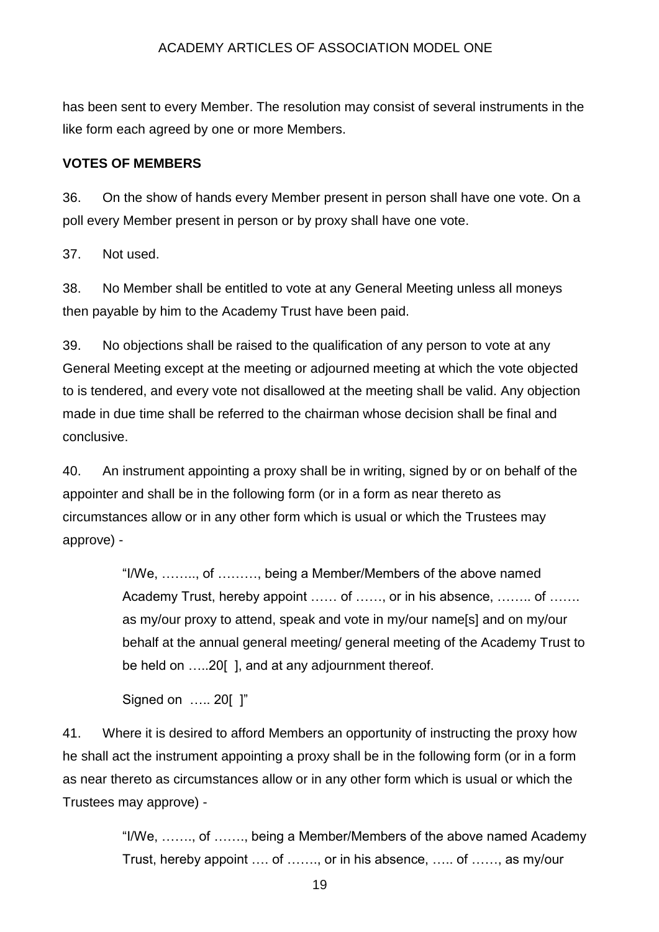has been sent to every Member. The resolution may consist of several instruments in the like form each agreed by one or more Members.

#### **VOTES OF MEMBERS**

36. On the show of hands every Member present in person shall have one vote. On a poll every Member present in person or by proxy shall have one vote.

37. Not used.

38. No Member shall be entitled to vote at any General Meeting unless all moneys then payable by him to the Academy Trust have been paid.

39. No objections shall be raised to the qualification of any person to vote at any General Meeting except at the meeting or adjourned meeting at which the vote objected to is tendered, and every vote not disallowed at the meeting shall be valid. Any objection made in due time shall be referred to the chairman whose decision shall be final and conclusive.

40. An instrument appointing a proxy shall be in writing, signed by or on behalf of the appointer and shall be in the following form (or in a form as near thereto as circumstances allow or in any other form which is usual or which the Trustees may approve) -

> "I/We, …….., of ………, being a Member/Members of the above named Academy Trust, hereby appoint …… of ……, or in his absence, …….. of ……. as my/our proxy to attend, speak and vote in my/our name[s] and on my/our behalf at the annual general meeting/ general meeting of the Academy Trust to be held on .....20[], and at any adjournment thereof.

Signed on ..... 20[ ]"

41. Where it is desired to afford Members an opportunity of instructing the proxy how he shall act the instrument appointing a proxy shall be in the following form (or in a form as near thereto as circumstances allow or in any other form which is usual or which the Trustees may approve) -

> "I/We, ……., of ……., being a Member/Members of the above named Academy Trust, hereby appoint …. of ……., or in his absence, ….. of ……, as my/our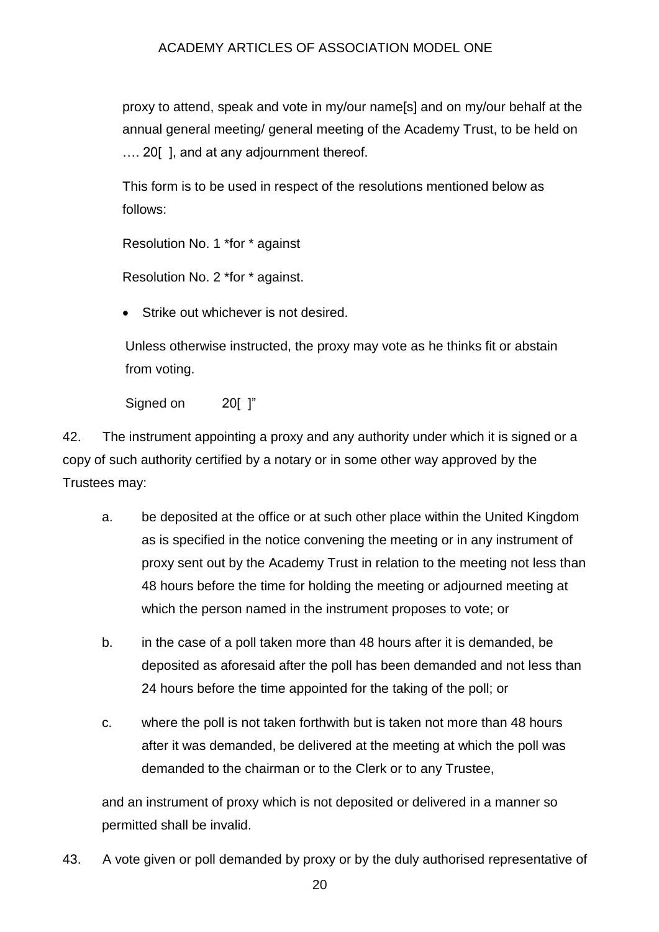proxy to attend, speak and vote in my/our name[s] and on my/our behalf at the annual general meeting/ general meeting of the Academy Trust, to be held on ..., 20 [ ], and at any adiournment thereof.

This form is to be used in respect of the resolutions mentioned below as follows:

Resolution No. 1 \*for \* against

Resolution No. 2 \*for \* against.

Strike out whichever is not desired.

Unless otherwise instructed, the proxy may vote as he thinks fit or abstain from voting.

Signed on 20[ ]"

42. The instrument appointing a proxy and any authority under which it is signed or a copy of such authority certified by a notary or in some other way approved by the Trustees may:

- a. be deposited at the office or at such other place within the United Kingdom as is specified in the notice convening the meeting or in any instrument of proxy sent out by the Academy Trust in relation to the meeting not less than 48 hours before the time for holding the meeting or adjourned meeting at which the person named in the instrument proposes to vote; or
- b. in the case of a poll taken more than 48 hours after it is demanded, be deposited as aforesaid after the poll has been demanded and not less than 24 hours before the time appointed for the taking of the poll; or
- c. where the poll is not taken forthwith but is taken not more than 48 hours after it was demanded, be delivered at the meeting at which the poll was demanded to the chairman or to the Clerk or to any Trustee,

and an instrument of proxy which is not deposited or delivered in a manner so permitted shall be invalid.

43. A vote given or poll demanded by proxy or by the duly authorised representative of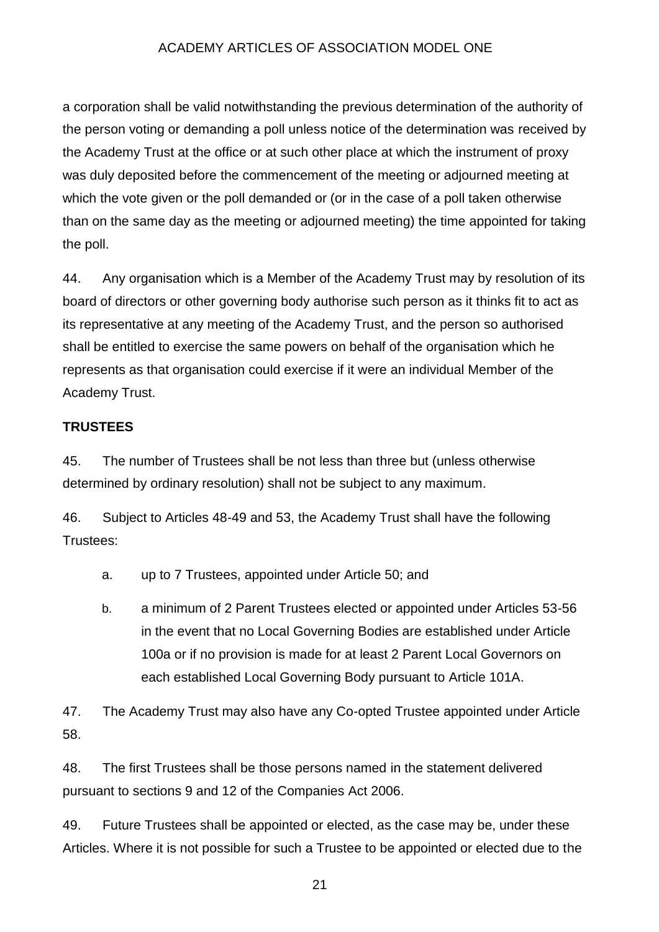a corporation shall be valid notwithstanding the previous determination of the authority of the person voting or demanding a poll unless notice of the determination was received by the Academy Trust at the office or at such other place at which the instrument of proxy was duly deposited before the commencement of the meeting or adjourned meeting at which the vote given or the poll demanded or (or in the case of a poll taken otherwise than on the same day as the meeting or adjourned meeting) the time appointed for taking the poll.

44. Any organisation which is a Member of the Academy Trust may by resolution of its board of directors or other governing body authorise such person as it thinks fit to act as its representative at any meeting of the Academy Trust, and the person so authorised shall be entitled to exercise the same powers on behalf of the organisation which he represents as that organisation could exercise if it were an individual Member of the Academy Trust.

## **TRUSTEES**

45. The number of Trustees shall be not less than three but (unless otherwise determined by ordinary resolution) shall not be subject to any maximum.

46. Subject to Articles 48-49 and 53, the Academy Trust shall have the following Trustees:

- a. up to 7 Trustees, appointed under Article 50; and
- b. a minimum of 2 Parent Trustees elected or appointed under Articles 53-56 in the event that no Local Governing Bodies are established under Article 100a or if no provision is made for at least 2 Parent Local Governors on each established Local Governing Body pursuant to Article 101A.

47. The Academy Trust may also have any Co-opted Trustee appointed under Article 58.

48. The first Trustees shall be those persons named in the statement delivered pursuant to sections 9 and 12 of the Companies Act 2006.

49. Future Trustees shall be appointed or elected, as the case may be, under these Articles. Where it is not possible for such a Trustee to be appointed or elected due to the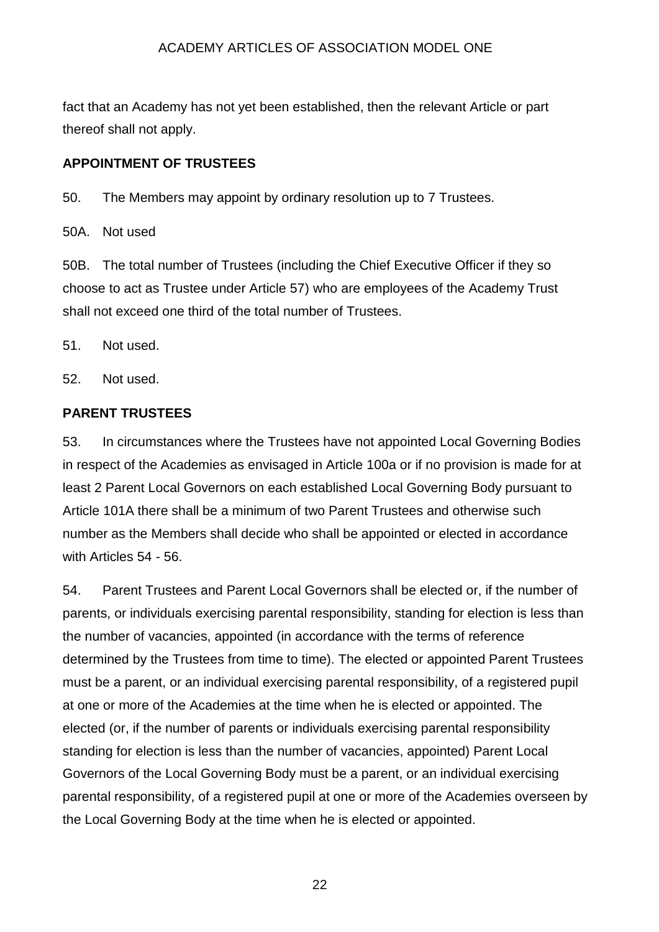fact that an Academy has not yet been established, then the relevant Article or part thereof shall not apply.

## **APPOINTMENT OF TRUSTEES**

50. The Members may appoint by ordinary resolution up to 7 Trustees.

50A. Not used

50B. The total number of Trustees (including the Chief Executive Officer if they so choose to act as Trustee under Article 57) who are employees of the Academy Trust shall not exceed one third of the total number of Trustees.

51. Not used.

52. Not used.

#### **PARENT TRUSTEES**

53. In circumstances where the Trustees have not appointed Local Governing Bodies in respect of the Academies as envisaged in Article 100a or if no provision is made for at least 2 Parent Local Governors on each established Local Governing Body pursuant to Article 101A there shall be a minimum of two Parent Trustees and otherwise such number as the Members shall decide who shall be appointed or elected in accordance with Articles 54 - 56.

54. Parent Trustees and Parent Local Governors shall be elected or, if the number of parents, or individuals exercising parental responsibility, standing for election is less than the number of vacancies, appointed (in accordance with the terms of reference determined by the Trustees from time to time). The elected or appointed Parent Trustees must be a parent, or an individual exercising parental responsibility, of a registered pupil at one or more of the Academies at the time when he is elected or appointed. The elected (or, if the number of parents or individuals exercising parental responsibility standing for election is less than the number of vacancies, appointed) Parent Local Governors of the Local Governing Body must be a parent, or an individual exercising parental responsibility, of a registered pupil at one or more of the Academies overseen by the Local Governing Body at the time when he is elected or appointed.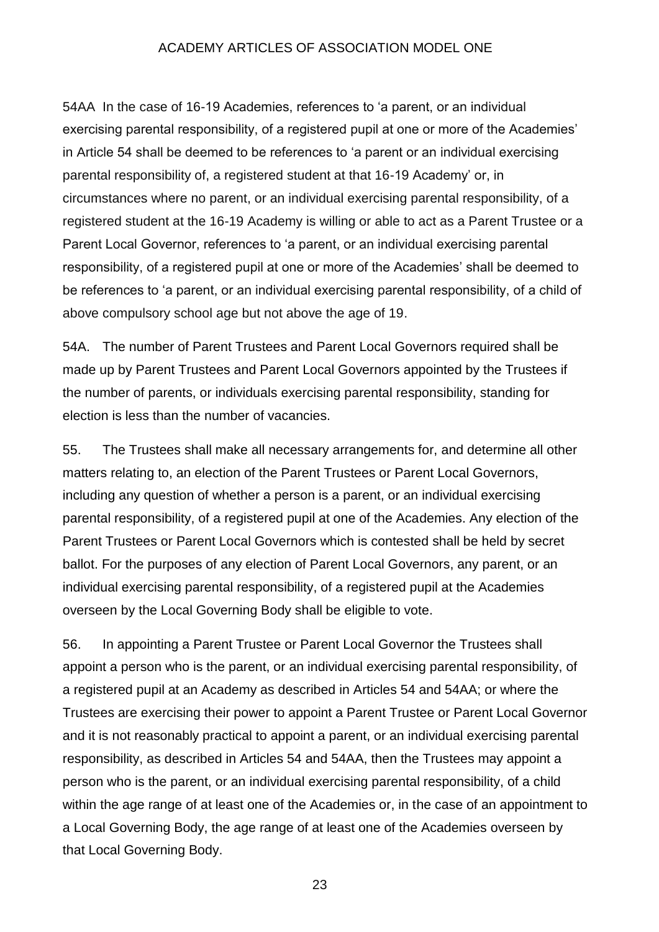54AA In the case of 16-19 Academies, references to 'a parent, or an individual exercising parental responsibility, of a registered pupil at one or more of the Academies' in Article 54 shall be deemed to be references to 'a parent or an individual exercising parental responsibility of, a registered student at that 16-19 Academy' or, in circumstances where no parent, or an individual exercising parental responsibility, of a registered student at the 16-19 Academy is willing or able to act as a Parent Trustee or a Parent Local Governor, references to 'a parent, or an individual exercising parental responsibility, of a registered pupil at one or more of the Academies' shall be deemed to be references to 'a parent, or an individual exercising parental responsibility, of a child of above compulsory school age but not above the age of 19.

54A. The number of Parent Trustees and Parent Local Governors required shall be made up by Parent Trustees and Parent Local Governors appointed by the Trustees if the number of parents, or individuals exercising parental responsibility, standing for election is less than the number of vacancies.

55. The Trustees shall make all necessary arrangements for, and determine all other matters relating to, an election of the Parent Trustees or Parent Local Governors, including any question of whether a person is a parent, or an individual exercising parental responsibility, of a registered pupil at one of the Academies. Any election of the Parent Trustees or Parent Local Governors which is contested shall be held by secret ballot. For the purposes of any election of Parent Local Governors, any parent, or an individual exercising parental responsibility, of a registered pupil at the Academies overseen by the Local Governing Body shall be eligible to vote.

56. In appointing a Parent Trustee or Parent Local Governor the Trustees shall appoint a person who is the parent, or an individual exercising parental responsibility, of a registered pupil at an Academy as described in Articles 54 and 54AA; or where the Trustees are exercising their power to appoint a Parent Trustee or Parent Local Governor and it is not reasonably practical to appoint a parent, or an individual exercising parental responsibility, as described in Articles 54 and 54AA, then the Trustees may appoint a person who is the parent, or an individual exercising parental responsibility, of a child within the age range of at least one of the Academies or, in the case of an appointment to a Local Governing Body, the age range of at least one of the Academies overseen by that Local Governing Body.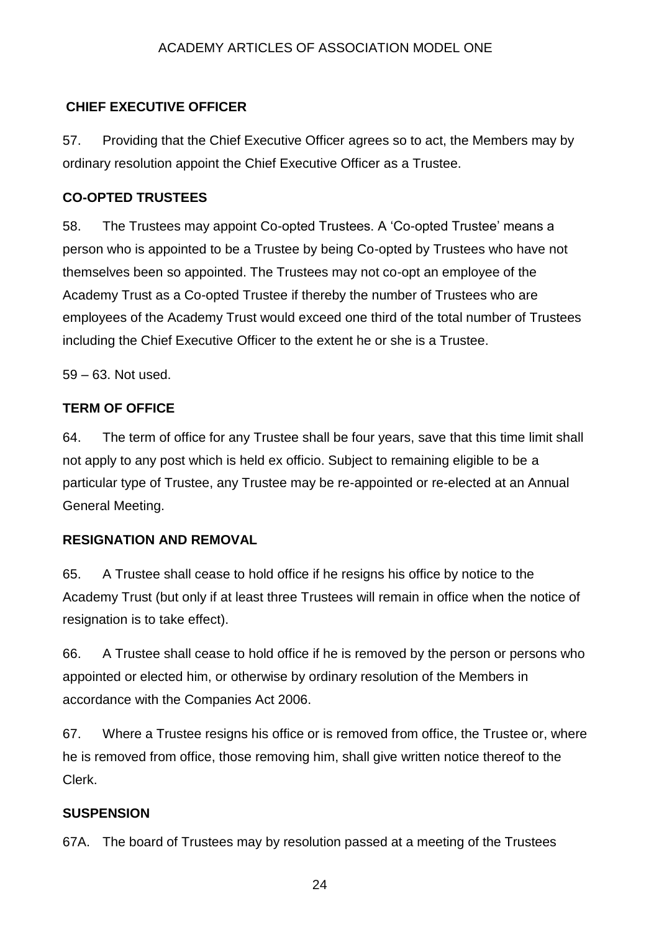## **CHIEF EXECUTIVE OFFICER**

57. Providing that the Chief Executive Officer agrees so to act, the Members may by ordinary resolution appoint the Chief Executive Officer as a Trustee.

## **CO-OPTED TRUSTEES**

58. The Trustees may appoint Co-opted Trustees. A 'Co-opted Trustee' means a person who is appointed to be a Trustee by being Co-opted by Trustees who have not themselves been so appointed. The Trustees may not co-opt an employee of the Academy Trust as a Co-opted Trustee if thereby the number of Trustees who are employees of the Academy Trust would exceed one third of the total number of Trustees including the Chief Executive Officer to the extent he or she is a Trustee.

59 – 63. Not used.

## **TERM OF OFFICE**

64. The term of office for any Trustee shall be four years, save that this time limit shall not apply to any post which is held ex officio. Subject to remaining eligible to be a particular type of Trustee, any Trustee may be re-appointed or re-elected at an Annual General Meeting.

## **RESIGNATION AND REMOVAL**

65. A Trustee shall cease to hold office if he resigns his office by notice to the Academy Trust (but only if at least three Trustees will remain in office when the notice of resignation is to take effect).

66. A Trustee shall cease to hold office if he is removed by the person or persons who appointed or elected him, or otherwise by ordinary resolution of the Members in accordance with the Companies Act 2006.

67. Where a Trustee resigns his office or is removed from office, the Trustee or, where he is removed from office, those removing him, shall give written notice thereof to the Clerk.

## **SUSPENSION**

67A. The board of Trustees may by resolution passed at a meeting of the Trustees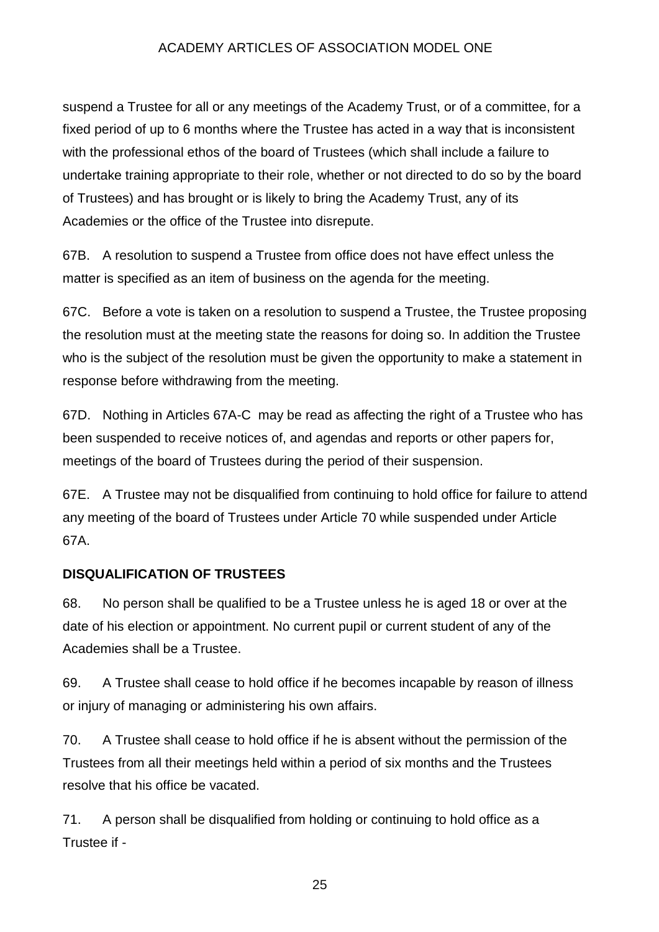suspend a Trustee for all or any meetings of the Academy Trust, or of a committee, for a fixed period of up to 6 months where the Trustee has acted in a way that is inconsistent with the professional ethos of the board of Trustees (which shall include a failure to undertake training appropriate to their role, whether or not directed to do so by the board of Trustees) and has brought or is likely to bring the Academy Trust, any of its Academies or the office of the Trustee into disrepute.

67B. A resolution to suspend a Trustee from office does not have effect unless the matter is specified as an item of business on the agenda for the meeting.

67C. Before a vote is taken on a resolution to suspend a Trustee, the Trustee proposing the resolution must at the meeting state the reasons for doing so. In addition the Trustee who is the subject of the resolution must be given the opportunity to make a statement in response before withdrawing from the meeting.

67D. Nothing in Articles 67A-C may be read as affecting the right of a Trustee who has been suspended to receive notices of, and agendas and reports or other papers for, meetings of the board of Trustees during the period of their suspension.

67E. A Trustee may not be disqualified from continuing to hold office for failure to attend any meeting of the board of Trustees under Article 70 while suspended under Article 67A.

## **DISQUALIFICATION OF TRUSTEES**

68. No person shall be qualified to be a Trustee unless he is aged 18 or over at the date of his election or appointment. No current pupil or current student of any of the Academies shall be a Trustee.

69. A Trustee shall cease to hold office if he becomes incapable by reason of illness or injury of managing or administering his own affairs.

70. A Trustee shall cease to hold office if he is absent without the permission of the Trustees from all their meetings held within a period of six months and the Trustees resolve that his office be vacated.

71. A person shall be disqualified from holding or continuing to hold office as a Trustee if -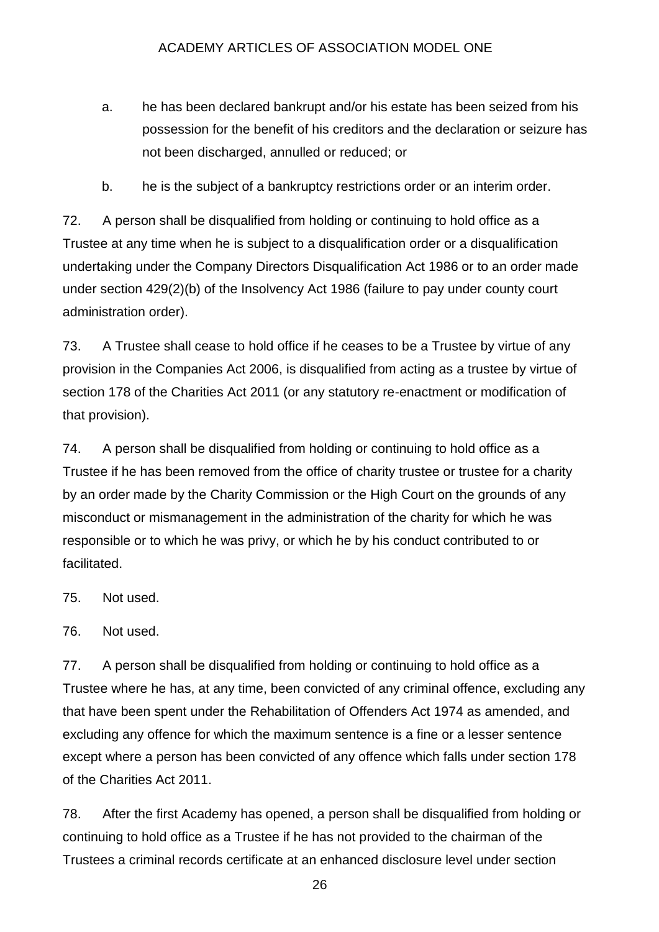- a. he has been declared bankrupt and/or his estate has been seized from his possession for the benefit of his creditors and the declaration or seizure has not been discharged, annulled or reduced; or
- b. he is the subject of a bankruptcy restrictions order or an interim order.

72. A person shall be disqualified from holding or continuing to hold office as a Trustee at any time when he is subject to a disqualification order or a disqualification undertaking under the Company Directors Disqualification Act 1986 or to an order made under section 429(2)(b) of the Insolvency Act 1986 (failure to pay under county court administration order).

73. A Trustee shall cease to hold office if he ceases to be a Trustee by virtue of any provision in the Companies Act 2006, is disqualified from acting as a trustee by virtue of section 178 of the Charities Act 2011 (or any statutory re-enactment or modification of that provision).

74. A person shall be disqualified from holding or continuing to hold office as a Trustee if he has been removed from the office of charity trustee or trustee for a charity by an order made by the Charity Commission or the High Court on the grounds of any misconduct or mismanagement in the administration of the charity for which he was responsible or to which he was privy, or which he by his conduct contributed to or facilitated.

75. Not used.

76. Not used.

77. A person shall be disqualified from holding or continuing to hold office as a Trustee where he has, at any time, been convicted of any criminal offence, excluding any that have been spent under the Rehabilitation of Offenders Act 1974 as amended, and excluding any offence for which the maximum sentence is a fine or a lesser sentence except where a person has been convicted of any offence which falls under section 178 of the Charities Act 2011.

78. After the first Academy has opened, a person shall be disqualified from holding or continuing to hold office as a Trustee if he has not provided to the chairman of the Trustees a criminal records certificate at an enhanced disclosure level under section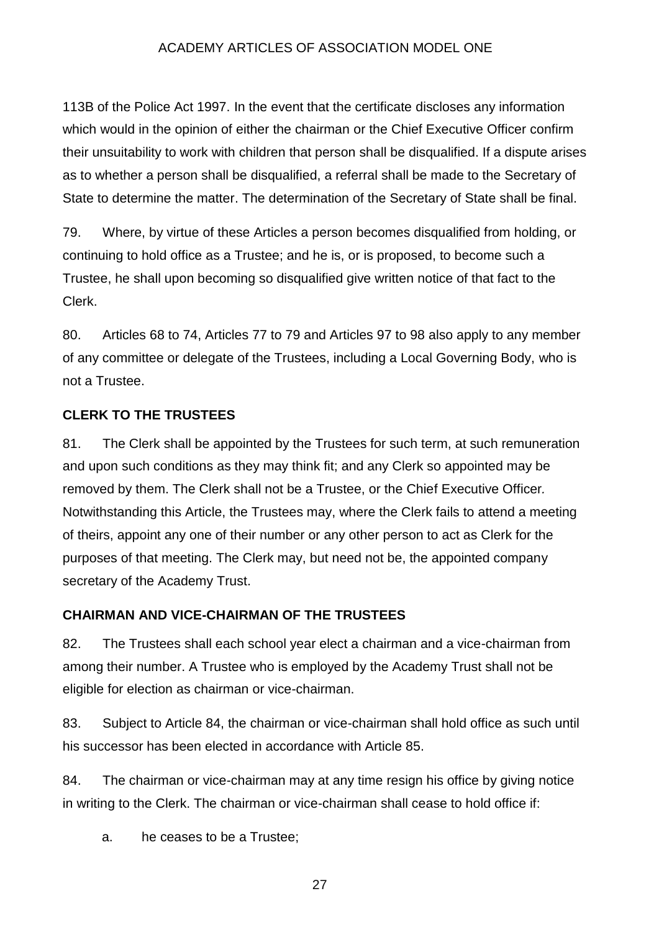113B of the Police Act 1997. In the event that the certificate discloses any information which would in the opinion of either the chairman or the Chief Executive Officer confirm their unsuitability to work with children that person shall be disqualified. If a dispute arises as to whether a person shall be disqualified, a referral shall be made to the Secretary of State to determine the matter. The determination of the Secretary of State shall be final.

79. Where, by virtue of these Articles a person becomes disqualified from holding, or continuing to hold office as a Trustee; and he is, or is proposed, to become such a Trustee, he shall upon becoming so disqualified give written notice of that fact to the Clerk.

80. Articles 68 to 74, Articles 77 to 79 and Articles 97 to 98 also apply to any member of any committee or delegate of the Trustees, including a Local Governing Body, who is not a Trustee.

## **CLERK TO THE TRUSTEES**

81. The Clerk shall be appointed by the Trustees for such term, at such remuneration and upon such conditions as they may think fit; and any Clerk so appointed may be removed by them. The Clerk shall not be a Trustee, or the Chief Executive Officer*.* Notwithstanding this Article, the Trustees may, where the Clerk fails to attend a meeting of theirs, appoint any one of their number or any other person to act as Clerk for the purposes of that meeting. The Clerk may, but need not be, the appointed company secretary of the Academy Trust.

## **CHAIRMAN AND VICE-CHAIRMAN OF THE TRUSTEES**

82. The Trustees shall each school year elect a chairman and a vice-chairman from among their number. A Trustee who is employed by the Academy Trust shall not be eligible for election as chairman or vice-chairman.

83. Subject to Article 84, the chairman or vice-chairman shall hold office as such until his successor has been elected in accordance with Article 85.

84. The chairman or vice-chairman may at any time resign his office by giving notice in writing to the Clerk. The chairman or vice-chairman shall cease to hold office if:

a. he ceases to be a Trustee;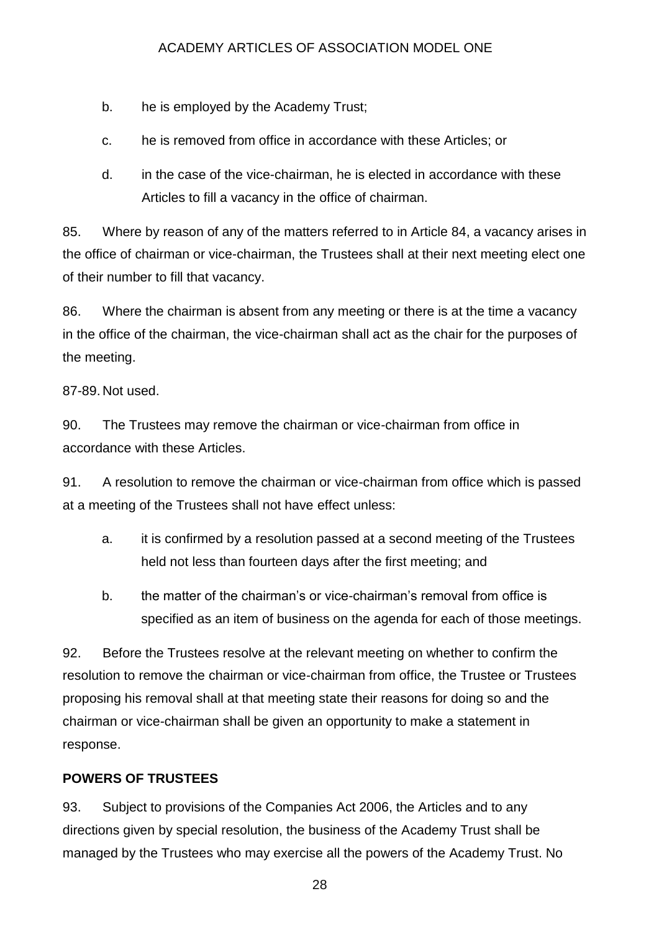- b. he is employed by the Academy Trust;
- c. he is removed from office in accordance with these Articles; or
- d. in the case of the vice-chairman, he is elected in accordance with these Articles to fill a vacancy in the office of chairman.

85. Where by reason of any of the matters referred to in Article 84, a vacancy arises in the office of chairman or vice-chairman, the Trustees shall at their next meeting elect one of their number to fill that vacancy.

86. Where the chairman is absent from any meeting or there is at the time a vacancy in the office of the chairman, the vice-chairman shall act as the chair for the purposes of the meeting.

87-89. Not used.

90. The Trustees may remove the chairman or vice-chairman from office in accordance with these Articles.

91. A resolution to remove the chairman or vice-chairman from office which is passed at a meeting of the Trustees shall not have effect unless:

- a. it is confirmed by a resolution passed at a second meeting of the Trustees held not less than fourteen days after the first meeting; and
- b. the matter of the chairman's or vice-chairman's removal from office is specified as an item of business on the agenda for each of those meetings.

92. Before the Trustees resolve at the relevant meeting on whether to confirm the resolution to remove the chairman or vice-chairman from office, the Trustee or Trustees proposing his removal shall at that meeting state their reasons for doing so and the chairman or vice-chairman shall be given an opportunity to make a statement in response.

## **POWERS OF TRUSTEES**

93. Subject to provisions of the Companies Act 2006, the Articles and to any directions given by special resolution, the business of the Academy Trust shall be managed by the Trustees who may exercise all the powers of the Academy Trust. No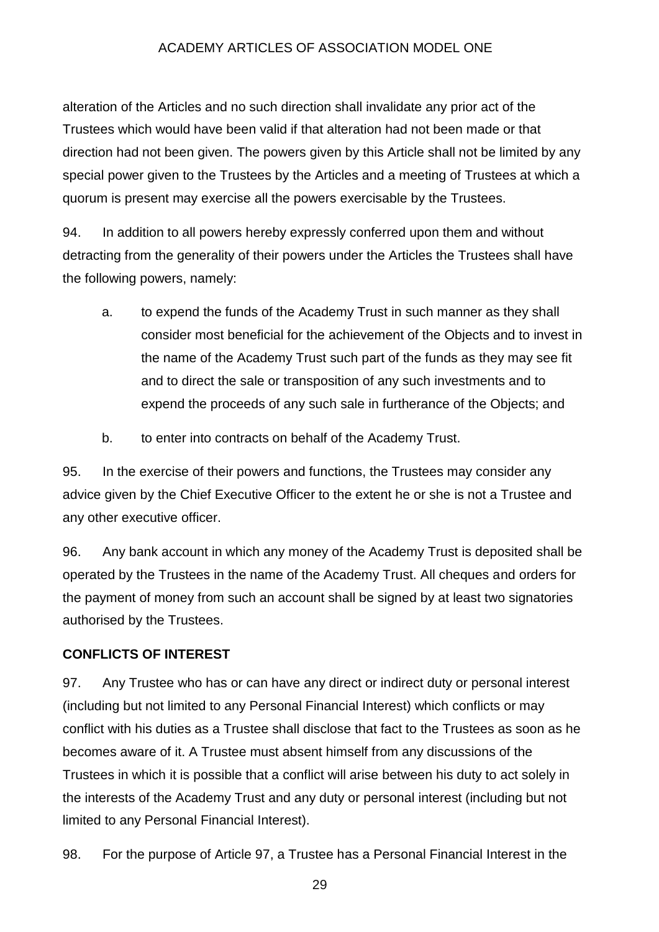alteration of the Articles and no such direction shall invalidate any prior act of the Trustees which would have been valid if that alteration had not been made or that direction had not been given. The powers given by this Article shall not be limited by any special power given to the Trustees by the Articles and a meeting of Trustees at which a quorum is present may exercise all the powers exercisable by the Trustees.

94. In addition to all powers hereby expressly conferred upon them and without detracting from the generality of their powers under the Articles the Trustees shall have the following powers, namely:

- a. to expend the funds of the Academy Trust in such manner as they shall consider most beneficial for the achievement of the Objects and to invest in the name of the Academy Trust such part of the funds as they may see fit and to direct the sale or transposition of any such investments and to expend the proceeds of any such sale in furtherance of the Objects; and
- b. to enter into contracts on behalf of the Academy Trust.

95. In the exercise of their powers and functions, the Trustees may consider any advice given by the Chief Executive Officer to the extent he or she is not a Trustee and any other executive officer.

96. Any bank account in which any money of the Academy Trust is deposited shall be operated by the Trustees in the name of the Academy Trust. All cheques and orders for the payment of money from such an account shall be signed by at least two signatories authorised by the Trustees.

#### **CONFLICTS OF INTEREST**

97. Any Trustee who has or can have any direct or indirect duty or personal interest (including but not limited to any Personal Financial Interest) which conflicts or may conflict with his duties as a Trustee shall disclose that fact to the Trustees as soon as he becomes aware of it. A Trustee must absent himself from any discussions of the Trustees in which it is possible that a conflict will arise between his duty to act solely in the interests of the Academy Trust and any duty or personal interest (including but not limited to any Personal Financial Interest).

98. For the purpose of Article 97, a Trustee has a Personal Financial Interest in the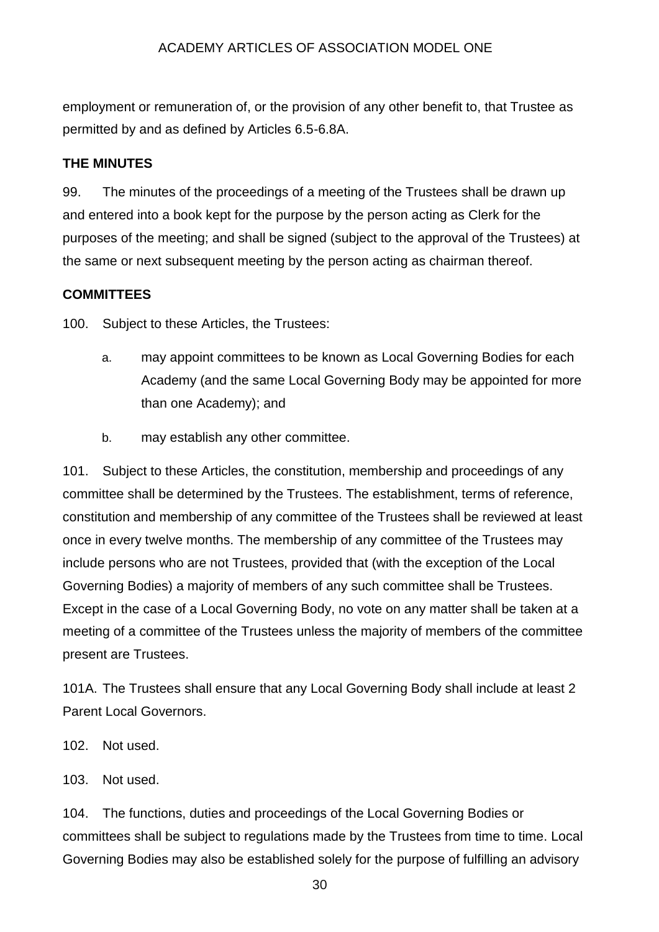employment or remuneration of, or the provision of any other benefit to, that Trustee as permitted by and as defined by Articles 6.5-6.8A.

## **THE MINUTES**

99. The minutes of the proceedings of a meeting of the Trustees shall be drawn up and entered into a book kept for the purpose by the person acting as Clerk for the purposes of the meeting; and shall be signed (subject to the approval of the Trustees) at the same or next subsequent meeting by the person acting as chairman thereof.

## **COMMITTEES**

100. Subject to these Articles, the Trustees:

- a. may appoint committees to be known as Local Governing Bodies for each Academy (and the same Local Governing Body may be appointed for more than one Academy); and
- b. may establish any other committee.

101. Subject to these Articles, the constitution, membership and proceedings of any committee shall be determined by the Trustees. The establishment, terms of reference, constitution and membership of any committee of the Trustees shall be reviewed at least once in every twelve months. The membership of any committee of the Trustees may include persons who are not Trustees, provided that (with the exception of the Local Governing Bodies) a majority of members of any such committee shall be Trustees. Except in the case of a Local Governing Body, no vote on any matter shall be taken at a meeting of a committee of the Trustees unless the majority of members of the committee present are Trustees.

101A. The Trustees shall ensure that any Local Governing Body shall include at least 2 Parent Local Governors.

- 102. Not used.
- 103. Not used.

104. The functions, duties and proceedings of the Local Governing Bodies or committees shall be subject to regulations made by the Trustees from time to time. Local Governing Bodies may also be established solely for the purpose of fulfilling an advisory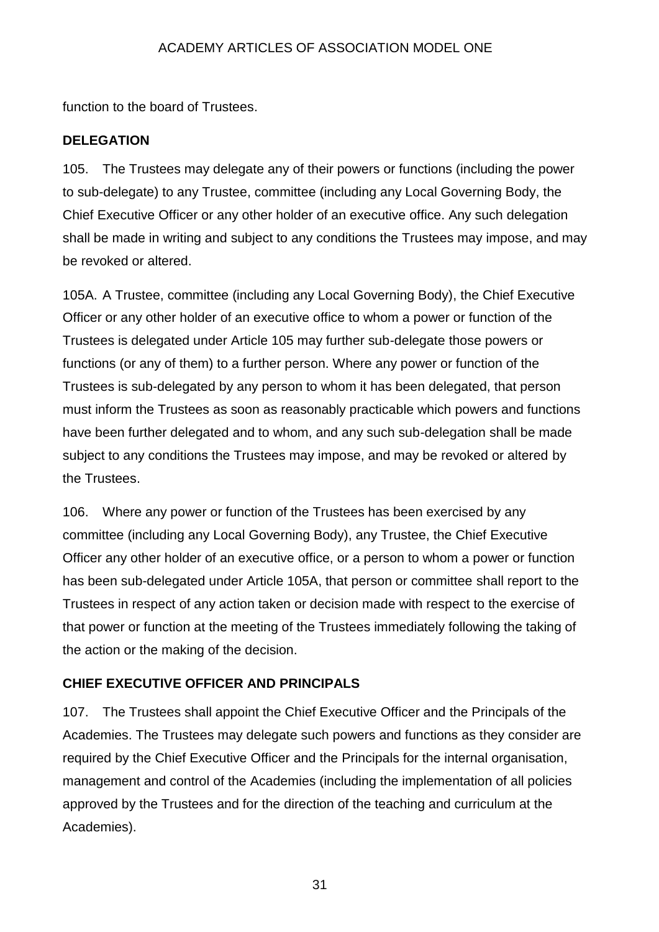function to the board of Trustees.

## **DELEGATION**

105. The Trustees may delegate any of their powers or functions (including the power to sub-delegate) to any Trustee, committee (including any Local Governing Body, the Chief Executive Officer or any other holder of an executive office. Any such delegation shall be made in writing and subject to any conditions the Trustees may impose, and may be revoked or altered.

105A. A Trustee, committee (including any Local Governing Body), the Chief Executive Officer or any other holder of an executive office to whom a power or function of the Trustees is delegated under Article 105 may further sub-delegate those powers or functions (or any of them) to a further person. Where any power or function of the Trustees is sub-delegated by any person to whom it has been delegated, that person must inform the Trustees as soon as reasonably practicable which powers and functions have been further delegated and to whom, and any such sub-delegation shall be made subject to any conditions the Trustees may impose, and may be revoked or altered by the Trustees.

106. Where any power or function of the Trustees has been exercised by any committee (including any Local Governing Body), any Trustee, the Chief Executive Officer any other holder of an executive office, or a person to whom a power or function has been sub-delegated under Article 105A, that person or committee shall report to the Trustees in respect of any action taken or decision made with respect to the exercise of that power or function at the meeting of the Trustees immediately following the taking of the action or the making of the decision.

## **CHIEF EXECUTIVE OFFICER AND PRINCIPALS**

107. The Trustees shall appoint the Chief Executive Officer and the Principals of the Academies. The Trustees may delegate such powers and functions as they consider are required by the Chief Executive Officer and the Principals for the internal organisation, management and control of the Academies (including the implementation of all policies approved by the Trustees and for the direction of the teaching and curriculum at the Academies).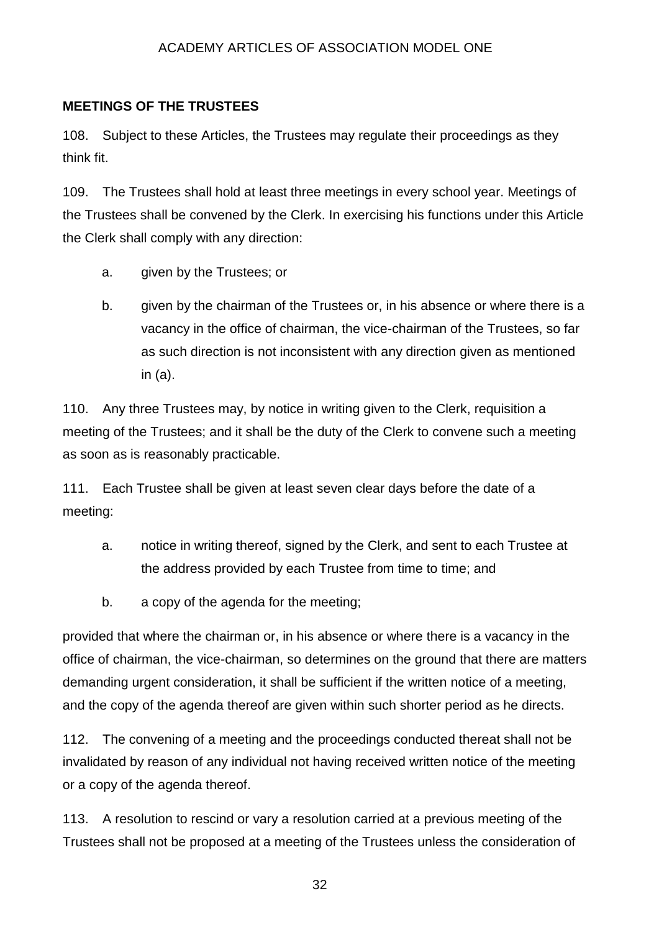#### **MEETINGS OF THE TRUSTEES**

108. Subject to these Articles, the Trustees may regulate their proceedings as they think fit.

109. The Trustees shall hold at least three meetings in every school year. Meetings of the Trustees shall be convened by the Clerk. In exercising his functions under this Article the Clerk shall comply with any direction:

- a. given by the Trustees; or
- b. given by the chairman of the Trustees or, in his absence or where there is a vacancy in the office of chairman, the vice-chairman of the Trustees, so far as such direction is not inconsistent with any direction given as mentioned in (a).

110. Any three Trustees may, by notice in writing given to the Clerk, requisition a meeting of the Trustees; and it shall be the duty of the Clerk to convene such a meeting as soon as is reasonably practicable.

111. Each Trustee shall be given at least seven clear days before the date of a meeting:

- a. notice in writing thereof, signed by the Clerk, and sent to each Trustee at the address provided by each Trustee from time to time; and
- b. a copy of the agenda for the meeting;

provided that where the chairman or, in his absence or where there is a vacancy in the office of chairman, the vice-chairman, so determines on the ground that there are matters demanding urgent consideration, it shall be sufficient if the written notice of a meeting, and the copy of the agenda thereof are given within such shorter period as he directs.

112. The convening of a meeting and the proceedings conducted thereat shall not be invalidated by reason of any individual not having received written notice of the meeting or a copy of the agenda thereof.

113. A resolution to rescind or vary a resolution carried at a previous meeting of the Trustees shall not be proposed at a meeting of the Trustees unless the consideration of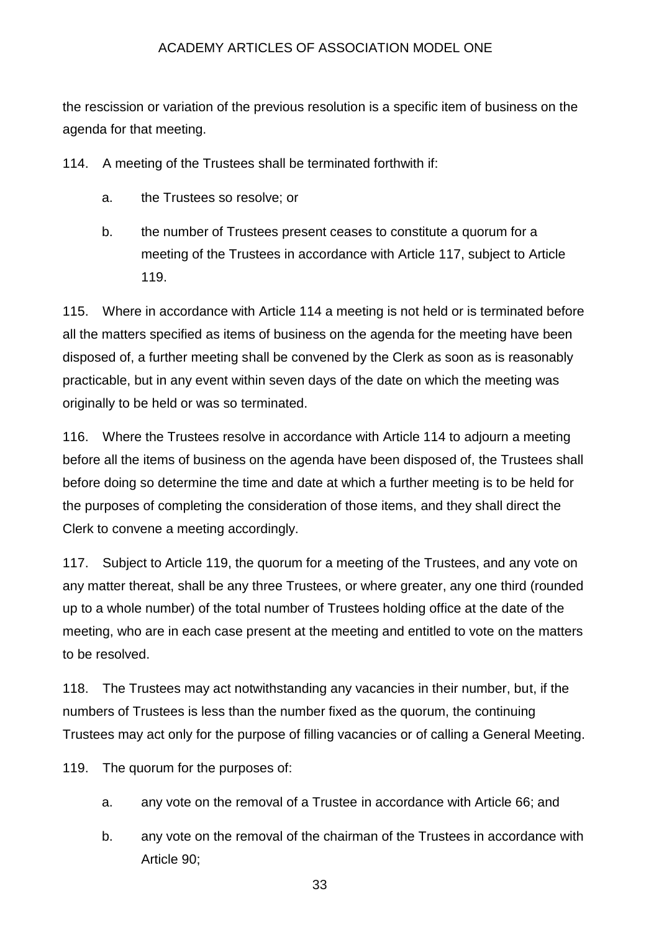the rescission or variation of the previous resolution is a specific item of business on the agenda for that meeting.

114. A meeting of the Trustees shall be terminated forthwith if:

- a. the Trustees so resolve; or
- b. the number of Trustees present ceases to constitute a quorum for a meeting of the Trustees in accordance with Article 117, subject to Article 119.

115. Where in accordance with Article 114 a meeting is not held or is terminated before all the matters specified as items of business on the agenda for the meeting have been disposed of, a further meeting shall be convened by the Clerk as soon as is reasonably practicable, but in any event within seven days of the date on which the meeting was originally to be held or was so terminated.

116. Where the Trustees resolve in accordance with Article 114 to adjourn a meeting before all the items of business on the agenda have been disposed of, the Trustees shall before doing so determine the time and date at which a further meeting is to be held for the purposes of completing the consideration of those items, and they shall direct the Clerk to convene a meeting accordingly.

117. Subject to Article 119, the quorum for a meeting of the Trustees, and any vote on any matter thereat, shall be any three Trustees, or where greater, any one third (rounded up to a whole number) of the total number of Trustees holding office at the date of the meeting, who are in each case present at the meeting and entitled to vote on the matters to be resolved.

118. The Trustees may act notwithstanding any vacancies in their number, but, if the numbers of Trustees is less than the number fixed as the quorum, the continuing Trustees may act only for the purpose of filling vacancies or of calling a General Meeting.

119. The quorum for the purposes of:

- a. any vote on the removal of a Trustee in accordance with Article 66; and
- b. any vote on the removal of the chairman of the Trustees in accordance with Article 90;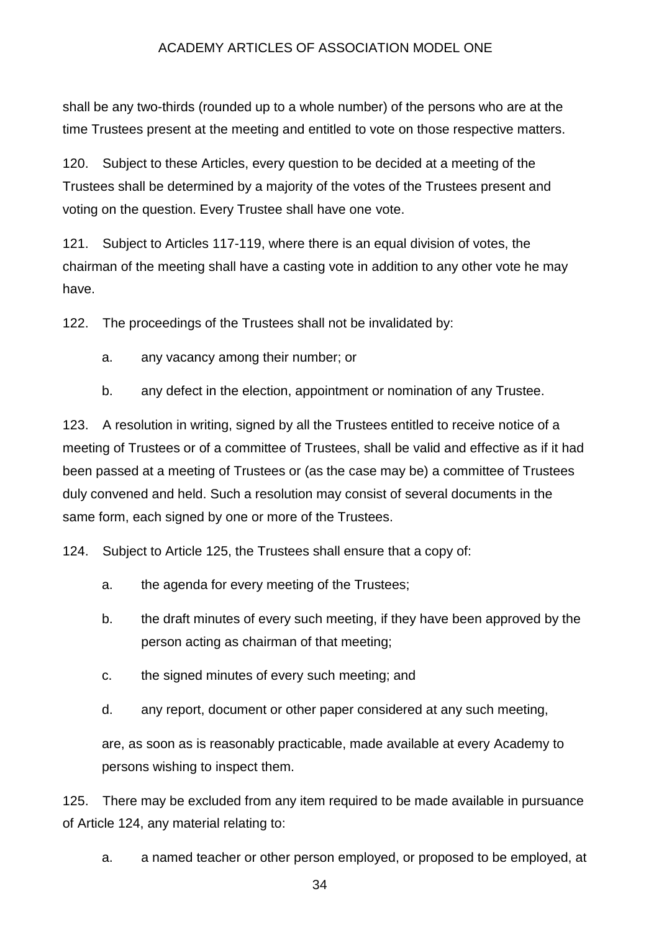shall be any two-thirds (rounded up to a whole number) of the persons who are at the time Trustees present at the meeting and entitled to vote on those respective matters.

120. Subject to these Articles, every question to be decided at a meeting of the Trustees shall be determined by a majority of the votes of the Trustees present and voting on the question. Every Trustee shall have one vote.

121. Subject to Articles 117-119, where there is an equal division of votes, the chairman of the meeting shall have a casting vote in addition to any other vote he may have.

122. The proceedings of the Trustees shall not be invalidated by:

- a. any vacancy among their number; or
- b. any defect in the election, appointment or nomination of any Trustee.

123. A resolution in writing, signed by all the Trustees entitled to receive notice of a meeting of Trustees or of a committee of Trustees, shall be valid and effective as if it had been passed at a meeting of Trustees or (as the case may be) a committee of Trustees duly convened and held. Such a resolution may consist of several documents in the same form, each signed by one or more of the Trustees.

124. Subject to Article 125, the Trustees shall ensure that a copy of:

- a. the agenda for every meeting of the Trustees;
- b. the draft minutes of every such meeting, if they have been approved by the person acting as chairman of that meeting;
- c. the signed minutes of every such meeting; and
- d. any report, document or other paper considered at any such meeting,

are, as soon as is reasonably practicable, made available at every Academy to persons wishing to inspect them.

125. There may be excluded from any item required to be made available in pursuance of Article 124, any material relating to:

a. a named teacher or other person employed, or proposed to be employed, at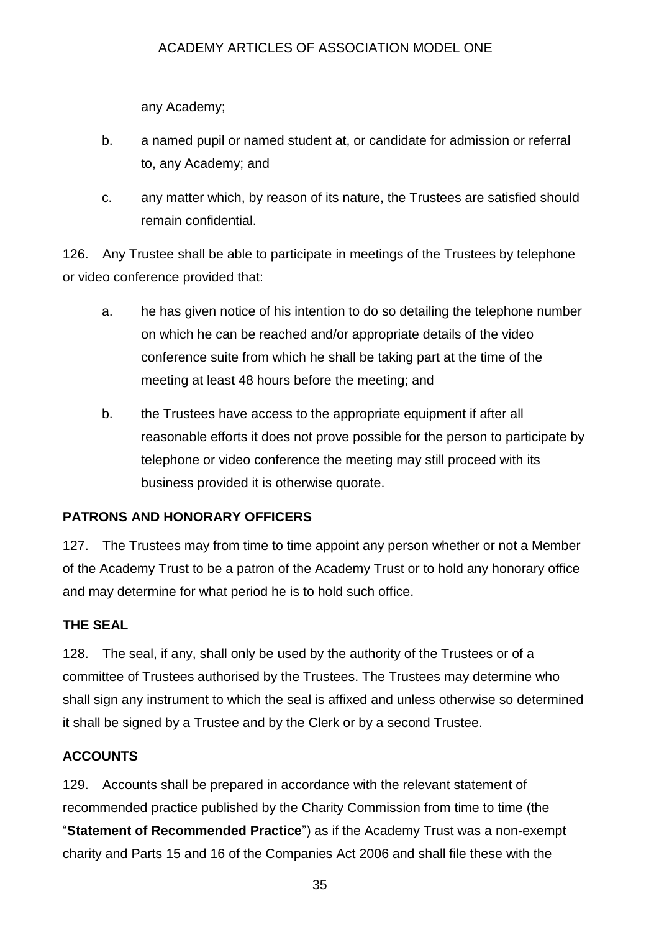any Academy;

- b. a named pupil or named student at, or candidate for admission or referral to, any Academy; and
- c. any matter which, by reason of its nature, the Trustees are satisfied should remain confidential.

126. Any Trustee shall be able to participate in meetings of the Trustees by telephone or video conference provided that:

- a. he has given notice of his intention to do so detailing the telephone number on which he can be reached and/or appropriate details of the video conference suite from which he shall be taking part at the time of the meeting at least 48 hours before the meeting; and
- b. the Trustees have access to the appropriate equipment if after all reasonable efforts it does not prove possible for the person to participate by telephone or video conference the meeting may still proceed with its business provided it is otherwise quorate.

# **PATRONS AND HONORARY OFFICERS**

127. The Trustees may from time to time appoint any person whether or not a Member of the Academy Trust to be a patron of the Academy Trust or to hold any honorary office and may determine for what period he is to hold such office.

# **THE SEAL**

128. The seal, if any, shall only be used by the authority of the Trustees or of a committee of Trustees authorised by the Trustees. The Trustees may determine who shall sign any instrument to which the seal is affixed and unless otherwise so determined it shall be signed by a Trustee and by the Clerk or by a second Trustee.

# **ACCOUNTS**

129. Accounts shall be prepared in accordance with the relevant statement of recommended practice published by the Charity Commission from time to time (the "**Statement of Recommended Practice**") as if the Academy Trust was a non-exempt charity and Parts 15 and 16 of the Companies Act 2006 and shall file these with the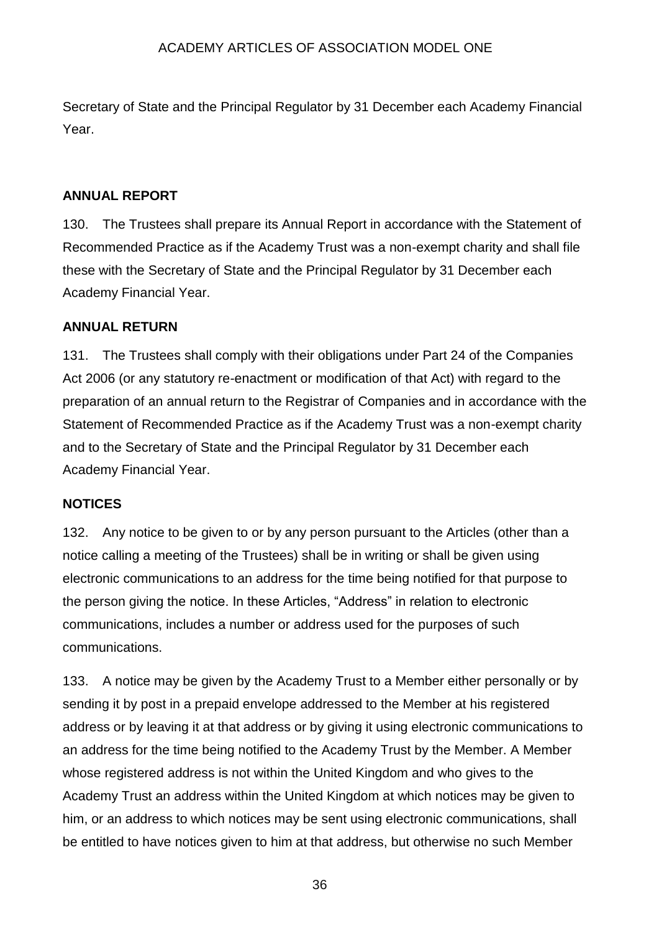Secretary of State and the Principal Regulator by 31 December each Academy Financial Year.

## **ANNUAL REPORT**

130. The Trustees shall prepare its Annual Report in accordance with the Statement of Recommended Practice as if the Academy Trust was a non-exempt charity and shall file these with the Secretary of State and the Principal Regulator by 31 December each Academy Financial Year.

## **ANNUAL RETURN**

131. The Trustees shall comply with their obligations under Part 24 of the Companies Act 2006 (or any statutory re-enactment or modification of that Act) with regard to the preparation of an annual return to the Registrar of Companies and in accordance with the Statement of Recommended Practice as if the Academy Trust was a non-exempt charity and to the Secretary of State and the Principal Regulator by 31 December each Academy Financial Year.

#### **NOTICES**

132. Any notice to be given to or by any person pursuant to the Articles (other than a notice calling a meeting of the Trustees) shall be in writing or shall be given using electronic communications to an address for the time being notified for that purpose to the person giving the notice. In these Articles, "Address" in relation to electronic communications, includes a number or address used for the purposes of such communications.

133. A notice may be given by the Academy Trust to a Member either personally or by sending it by post in a prepaid envelope addressed to the Member at his registered address or by leaving it at that address or by giving it using electronic communications to an address for the time being notified to the Academy Trust by the Member. A Member whose registered address is not within the United Kingdom and who gives to the Academy Trust an address within the United Kingdom at which notices may be given to him, or an address to which notices may be sent using electronic communications, shall be entitled to have notices given to him at that address, but otherwise no such Member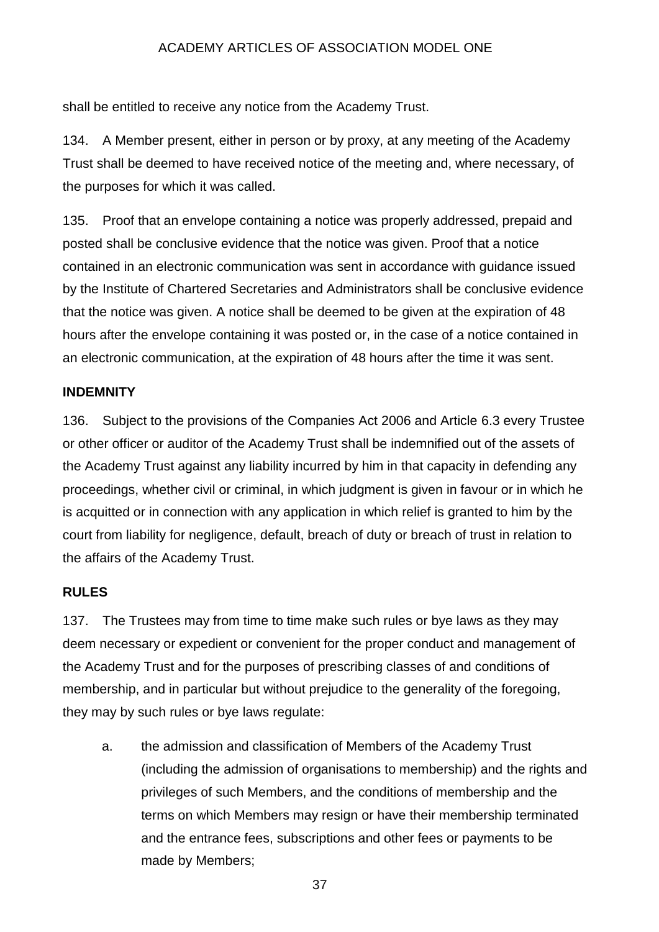shall be entitled to receive any notice from the Academy Trust.

134. A Member present, either in person or by proxy, at any meeting of the Academy Trust shall be deemed to have received notice of the meeting and, where necessary, of the purposes for which it was called.

135. Proof that an envelope containing a notice was properly addressed, prepaid and posted shall be conclusive evidence that the notice was given. Proof that a notice contained in an electronic communication was sent in accordance with guidance issued by the Institute of Chartered Secretaries and Administrators shall be conclusive evidence that the notice was given. A notice shall be deemed to be given at the expiration of 48 hours after the envelope containing it was posted or, in the case of a notice contained in an electronic communication, at the expiration of 48 hours after the time it was sent.

#### **INDEMNITY**

136. Subject to the provisions of the Companies Act 2006 and Article 6.3 every Trustee or other officer or auditor of the Academy Trust shall be indemnified out of the assets of the Academy Trust against any liability incurred by him in that capacity in defending any proceedings, whether civil or criminal, in which judgment is given in favour or in which he is acquitted or in connection with any application in which relief is granted to him by the court from liability for negligence, default, breach of duty or breach of trust in relation to the affairs of the Academy Trust.

#### **RULES**

137. The Trustees may from time to time make such rules or bye laws as they may deem necessary or expedient or convenient for the proper conduct and management of the Academy Trust and for the purposes of prescribing classes of and conditions of membership, and in particular but without prejudice to the generality of the foregoing, they may by such rules or bye laws regulate:

a. the admission and classification of Members of the Academy Trust (including the admission of organisations to membership) and the rights and privileges of such Members, and the conditions of membership and the terms on which Members may resign or have their membership terminated and the entrance fees, subscriptions and other fees or payments to be made by Members;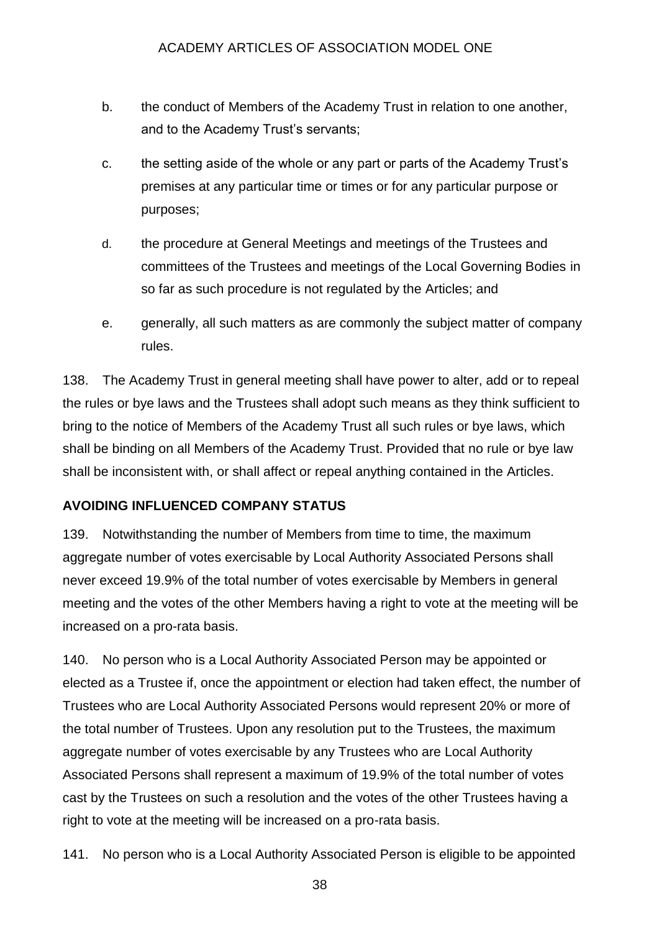- b. the conduct of Members of the Academy Trust in relation to one another, and to the Academy Trust's servants;
- c. the setting aside of the whole or any part or parts of the Academy Trust's premises at any particular time or times or for any particular purpose or purposes;
- d. the procedure at General Meetings and meetings of the Trustees and committees of the Trustees and meetings of the Local Governing Bodies in so far as such procedure is not regulated by the Articles; and
- e. generally, all such matters as are commonly the subject matter of company rules.

138. The Academy Trust in general meeting shall have power to alter, add or to repeal the rules or bye laws and the Trustees shall adopt such means as they think sufficient to bring to the notice of Members of the Academy Trust all such rules or bye laws, which shall be binding on all Members of the Academy Trust. Provided that no rule or bye law shall be inconsistent with, or shall affect or repeal anything contained in the Articles.

## **AVOIDING INFLUENCED COMPANY STATUS**

139. Notwithstanding the number of Members from time to time, the maximum aggregate number of votes exercisable by Local Authority Associated Persons shall never exceed 19.9% of the total number of votes exercisable by Members in general meeting and the votes of the other Members having a right to vote at the meeting will be increased on a pro-rata basis.

140. No person who is a Local Authority Associated Person may be appointed or elected as a Trustee if, once the appointment or election had taken effect, the number of Trustees who are Local Authority Associated Persons would represent 20% or more of the total number of Trustees. Upon any resolution put to the Trustees, the maximum aggregate number of votes exercisable by any Trustees who are Local Authority Associated Persons shall represent a maximum of 19.9% of the total number of votes cast by the Trustees on such a resolution and the votes of the other Trustees having a right to vote at the meeting will be increased on a pro-rata basis.

141. No person who is a Local Authority Associated Person is eligible to be appointed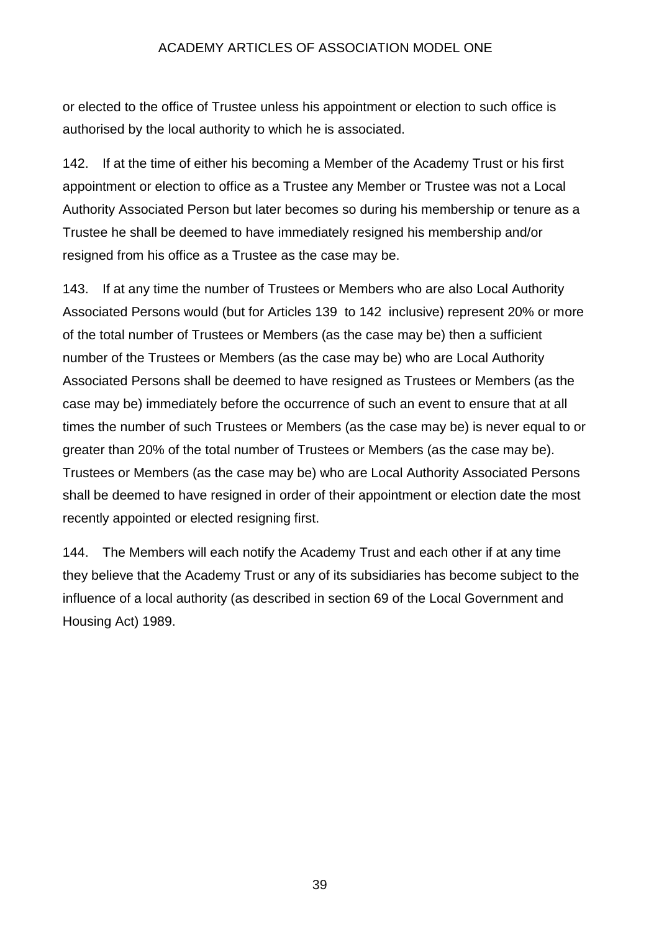or elected to the office of Trustee unless his appointment or election to such office is authorised by the local authority to which he is associated.

142. If at the time of either his becoming a Member of the Academy Trust or his first appointment or election to office as a Trustee any Member or Trustee was not a Local Authority Associated Person but later becomes so during his membership or tenure as a Trustee he shall be deemed to have immediately resigned his membership and/or resigned from his office as a Trustee as the case may be.

143. If at any time the number of Trustees or Members who are also Local Authority Associated Persons would (but for Articles 139 to 142 inclusive) represent 20% or more of the total number of Trustees or Members (as the case may be) then a sufficient number of the Trustees or Members (as the case may be) who are Local Authority Associated Persons shall be deemed to have resigned as Trustees or Members (as the case may be) immediately before the occurrence of such an event to ensure that at all times the number of such Trustees or Members (as the case may be) is never equal to or greater than 20% of the total number of Trustees or Members (as the case may be). Trustees or Members (as the case may be) who are Local Authority Associated Persons shall be deemed to have resigned in order of their appointment or election date the most recently appointed or elected resigning first.

144. The Members will each notify the Academy Trust and each other if at any time they believe that the Academy Trust or any of its subsidiaries has become subject to the influence of a local authority (as described in section 69 of the Local Government and Housing Act) 1989.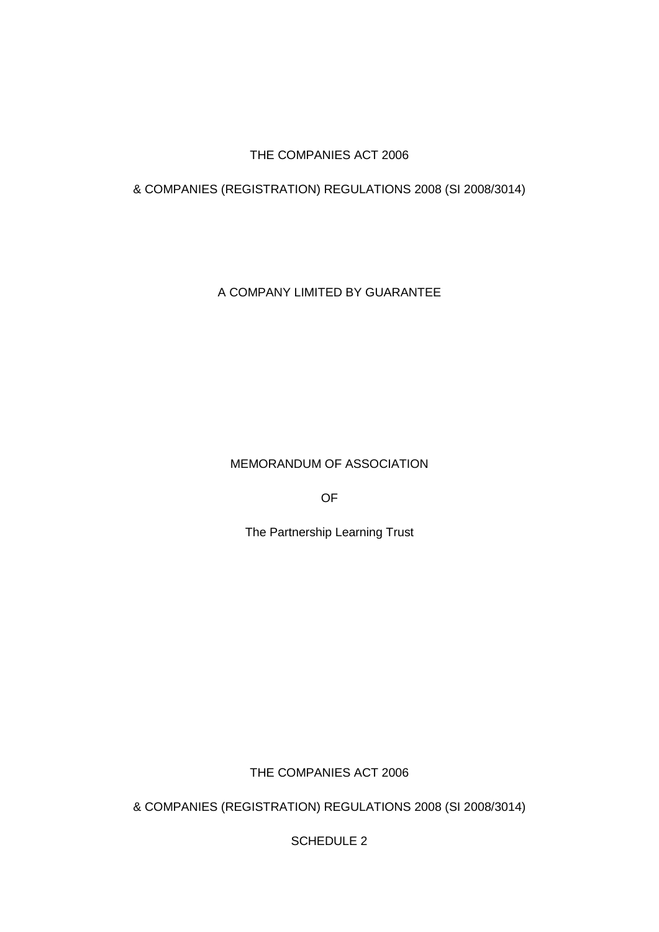## THE COMPANIES ACT 2006

## & COMPANIES (REGISTRATION) REGULATIONS 2008 (SI 2008/3014)

A COMPANY LIMITED BY GUARANTEE

MEMORANDUM OF ASSOCIATION

OF

The Partnership Learning Trust

THE COMPANIES ACT 2006

& COMPANIES (REGISTRATION) REGULATIONS 2008 (SI 2008/3014)

SCHEDULE 2